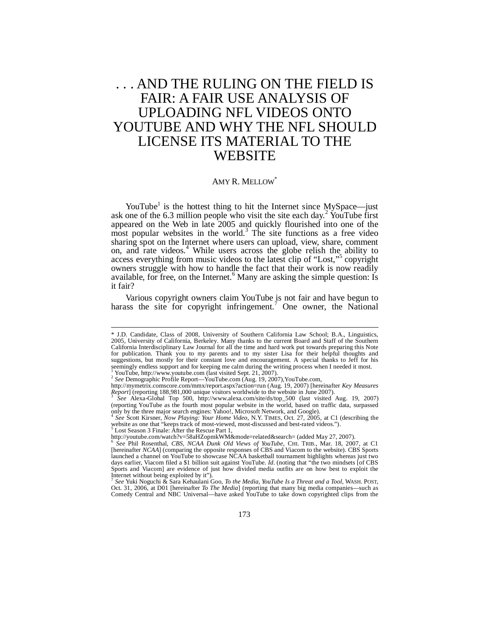# . . . AND THE RULING ON THE FIELD IS FAIR: A FAIR USE ANALYSIS OF UPLOADING NFL VIDEOS ONTO YOUTUBE AND WHY THE NFL SHOULD LICENSE ITS MATERIAL TO THE WEBSITE

## AMY R. MELLOW<sup>\*</sup>

YouTube<sup>1</sup> is the hottest thing to hit the Internet since MySpace—just ask one of the 6.3 million people who visit the site each day.<sup>2</sup> YouTube first appeared on the Web in late 2005 and quickly flourished into one of the  $\frac{1}{2}$  most popular websites in the world.<sup>3</sup> The site functions as a free video sharing spot on the Internet where users can upload, view, share, comment on, and rate videos.<sup>4</sup> While users across the globe relish the ability to access everything from music videos to the latest clip of "Lost,"<sup>5</sup> copyright owners struggle with how to handle the fact that their work is now readily available, for free, on the Internet.<sup>6</sup> Many are asking the simple question: Is it fair?

Various copyright owners claim YouTube is not fair and have begun to harass the site for copyright infringement.<sup>7</sup> One owner, the National

<sup>\*</sup> J.D. Candidate, Class of 2008, University of Southern California Law School; B.A., Linguistics, 2005, University of California, Berkeley. Many thanks to the current Board and Staff of the Southern California Interdisciplinary Law Journal for all the time and hard work put towards preparing this Note for publication. Thank you to my parents and to my sister Lisa for their helpful thoughts and suggestions, but mostly for their constant love and encouragement. A special thanks to Jeff for his seemingly endless support and for keeping me calm during the writing process when I needed it most.

<sup>&</sup>lt;sup>1</sup> YouTube, http://www.youtube.com (last visited Sept. 21, 2007).<br><sup>2</sup> See Demographic Profile Report—YouTube.com (Aug. 19, 2007),YouTube.com,

http://mymetrix.comscore.com/mmx/report.aspx?action=run (Aug. 19, 2007) [hereinafter *Key Measures*

*Report*] (reporting 188,981,000 unique visitors worldwide to the website in June 2007). 3 *See* Alexa-Global Top 500, http://www.alexa.com/site/ds/top\_500 (last visited Aug. 19, 2007) (reporting YouTube as the fourth most popular website in the world, based on traffic data, surpassed only by the three major search engines: Yahoo!, Microsoft Network, and Google). 4 *See* Scott Kirsner, *Now Playing: Your Home Video*, N.Y. TIMES, Oct. 27, 2005, at C1 (describing the

website as one that "keeps track of most-viewed, most-discussed and best-rated videos.").

<sup>&</sup>lt;sup>5</sup> Lost Season 3 Finale: After the Rescue Part 1,<br>http://youtube.com/watch?v=58aHZopmkWM&mode=related&search= (added May 27, 2007).

*See* Phil Rosenthal, *CBS, NCAA Dunk Old Views of YouTube*, CHI. TRIB., Mar. 18, 2007, at C1 [hereinafter *NCAA*] (comparing the opposite responses of CBS and Viacom to the website). CBS Sports launched a channel on YouTube to showcase NCAA basketball tournament highlights whereas just two days earlier, Viacom filed a \$1 billion suit against YouTube. *Id*. (noting that "the two mindsets [of CBS Sports and Viacom] are evidence of just how divided media outfits are on how best to exploit the Internet without being exploited by it").

*See* Yuki Noguchi & Sara Kehaulani Goo, *To the Media, YouTube Is a Threat and a Tool*, WASH. POST, Oct. 31, 2006, at D01 [hereinafter *To The Media*] (reporting that many big media companies—such as<br>Comedy Central and NBC Universal—have asked YouTube to take down copyrighted clips from the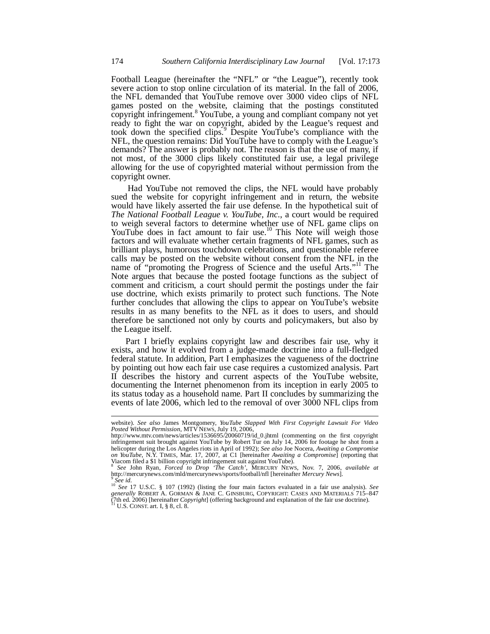Football League (hereinafter the "NFL" or "the League"), recently took severe action to stop online circulation of its material. In the fall of 2006, the NFL demanded that YouTube remove over 3000 video clips of NFL games posted on the website, claiming that the postings constituted copyright infringement.  $8$  YouTube, a young and compliant company not yet ready to fight the war on copyright, abided by the League's request and took down the specified clips.<sup>9</sup> Despite YouTube's compliance with the NFL, the question remains: Did YouTube have to comply with the League's demands? The answer is probably not. The reason is that the use of many, if not most, of the 3000 clips likely constituted fair use, a legal privilege allowing for the use of copyrighted material without permission from the copyright owner.

 Had YouTube not removed the clips, the NFL would have probably sued the website for copyright infringement and in return, the website would have likely asserted the fair use defense. In the hypothetical suit of *The National Football League v. YouTube, Inc.*, a court would be required to weigh several factors to determine whether use of NFL game clips on YouTube does in fact amount to fair use.<sup>10</sup> This Note will weigh those factors and will evaluate whether certain fragments of NFL games, such as brilliant plays, humorous touchdown celebrations, and questionable referee calls may be posted on the website without consent from the NFL in the name of "promoting the Progress of Science and the useful Arts."<sup>11</sup> The Note argues that because the posted footage functions as the subject of comment and criticism, a court should permit the postings under the fair use doctrine, which exists primarily to protect such functions. The Note further concludes that allowing the clips to appear on YouTube's website results in as many benefits to the NFL as it does to users, and should therefore be sanctioned not only by courts and policymakers, but also by the League itself.

Part I briefly explains copyright law and describes fair use, why it exists, and how it evolved from a judge-made doctrine into a full-fledged federal statute. In addition, Part I emphasizes the vagueness of the doctrine by pointing out how each fair use case requires a customized analysis. Part II describes the history and current aspects of the YouTube website, documenting the Internet phenomenon from its inception in early 2005 to its status today as a household name. Part II concludes by summarizing the events of late 2006, which led to the removal of over 3000 NFL clips from

website). *See also* James Montgomery, *YouTube Slapped With First Copyright Lawsuit For Video Posted Without Permission*, MTV NEWS, July 19, 2006,

http://www.mtv.com/news/articles/1536695/20060719/id\_0.jhtml (commenting on the first copyright infringement suit brought against YouTube by Robert Tur on July 14, 2006 for footage he shot from a helicopter during the Los Angeles riots in April of 1992); See also Joe Nocera, Awaiting a Compromise<br>on YouTube, N.Y. TIMES, Mar. 17, 2007, at C1 [hereinafter Awaiting a Compromise] (reporting that

Viacom filed a \$1 billion copyright infringement suit against YouTube).<br><sup>8</sup> See John Ryan, *Forced to Drop 'The Catch'*, MERCURY NEWS, Nov. 7, 2006, *available at*<br>http://mercurynews.com/mld/mercurynews/sports/football/nfl 9 *See id*.

<sup>10</sup> *See* 17 U.S.C. § 107 (1992) (listing the four main factors evaluated in a fair use analysis). *See generally* ROBERT A. GORMAN & JANE C. GINSBURG, COPYRIGHT: CASES AND MATERIALS 715–847 (7th ed. 2006) [hereinafter *Copyright*] (offering background and explanation of the fair use doctrine). <sup>11</sup> U.S. CONST. art. I, § 8, cl. 8.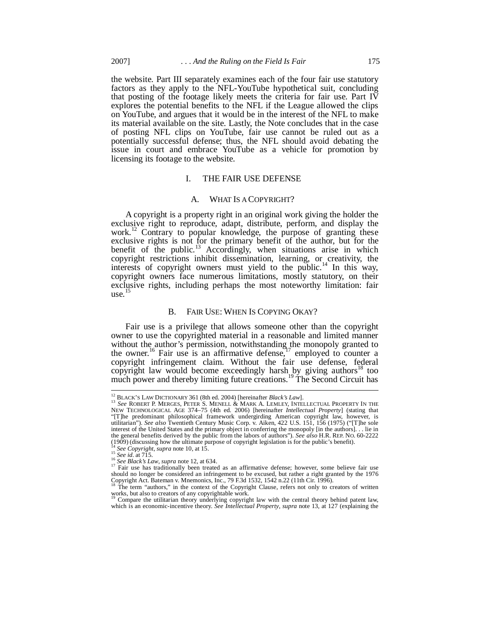the website. Part III separately examines each of the four fair use statutory factors as they apply to the NFL-YouTube hypothetical suit, concluding that posting of the footage likely meets the criteria for fair use. Part IV explores the potential benefits to the NFL if the League allowed the clips on YouTube, and argues that it would be in the interest of the NFL to make its material available on the site. Lastly, the Note concludes that in the case of posting NFL clips on YouTube, fair use cannot be ruled out as a potentially successful defense; thus, the NFL should avoid debating the issue in court and embrace YouTube as a vehicle for promotion by licensing its footage to the website.

#### I. THE FAIR USE DEFENSE

### A. WHAT IS A COPYRIGHT?

A copyright is a property right in an original work giving the holder the exclusive right to reproduce, adapt, distribute, perform, and display the work.<sup>12</sup> Contrary to popular knowledge, the purpose of granting these exclusive rights is not for the primary benefit of the author, but for the benefit of the public.<sup>13</sup> Accordingly, when situations arise in which copyright restrictions inhibit dissemination, learning, or creativity, the interests of copyright owners must yield to the public.<sup>14</sup> In this way, copyright owners face numerous limitations, mostly statutory, on their exclusive rights, including perhaps the most noteworthy limitation: fair  $use.$ <sup>15</sup>

## B. FAIR USE: WHEN IS COPYING OKAY?

Fair use is a privilege that allows someone other than the copyright owner to use the copyrighted material in a reasonable and limited manner without the author's permission, notwithstanding the monopoly granted to the owner.<sup>16</sup> Fair use is an affirmative defense,<sup>17</sup> employed to counter a copyright infringement claim. Without the fair use defense, federal copyright law would become exceedingly harsh by giving authors<sup>18</sup> too much power and thereby limiting future creations.<sup>19</sup> The Second Circuit has

<sup>12</sup> BLACK'S LAW DICTIONARY 361 (8th ed. 2004) [hereinafter *Black's Law*].

<sup>&</sup>lt;sup>13</sup> See ROBERT P. MERGES, PETER S. MENELL & MARK A. LEMLEY, INTELLECTUAL PROPERTY IN THE NEW TECHNOLOGICAL AGE 374–75 (4th ed. 2006) [hereinafter *Intellectual Property*] (stating that "[T]he predominant philosophical framework undergirding American copyright law, however, is utilitarian"). *See also* Twentieth Century Music Corp. v. Aiken, 422 U.S. 151, 156 (1975) ("[T]he sole interest of the United States and the primary object in conferring the monopoly [in the authors]. . . lie in the general benefits derived by the public from the labors of authors"). *See also* H.R. REP. NO. 60-2222 (1909) (discussing how the ultimate purpose of copyright legislation is for the public's benefit).

<sup>14</sup> *See Copyright*, *supra* note 10, at 15. <sup>15</sup> *See id*. at 715.

<sup>16</sup> *See Black's Law*, *supra* note 12, at 634.

<sup>&</sup>lt;sup>17</sup> Fair use has traditionally been treated as an affirmative defense; however, some believe fair use should no longer be considered an infringement to be excused, but rather a right granted by the 1976 Copyright Act. Bateman v. Mnemonics, Inc., 79 F.3d 1532, 1542 n.22 (11th Cir. 1996).

The term "authors," in the context of the Copyright Clause, refers not only to creators of written works, but also to creators of any copyrightable work. <sup>19</sup> Compare the utilitarian theory underlying copyright law with the central theory behind patent law,

which is an economic-incentive theory. *See Intellectual Property*, *supra* note 13, at 127 (explaining the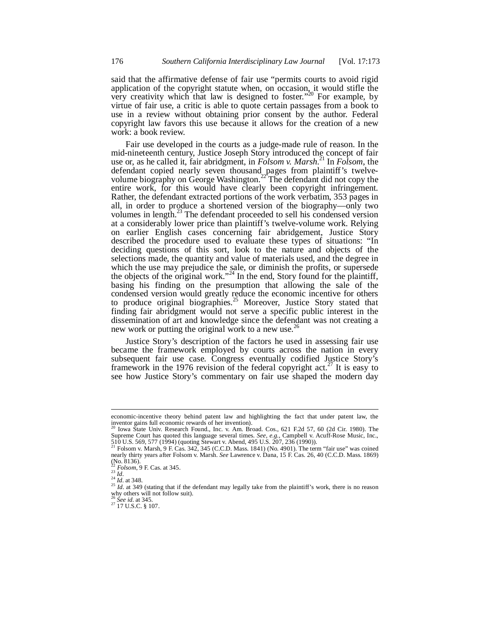said that the affirmative defense of fair use "permits courts to avoid rigid application of the copyright statute when, on occasion, it would stifle the very creativity which that law is designed to foster."<sup>20</sup> For example, by virtue of fair use, a critic is able to quote certain passages from a book to use in a review without obtaining prior consent by the author. Federal copyright law favors this use because it allows for the creation of a new work: a book review.

Fair use developed in the courts as a judge-made rule of reason. In the mid-nineteenth century, Justice Joseph Story introduced the concept of fair use or, as he called it, fair abridgment, in *Folsom v. Marsh*. <sup>21</sup> In *Folsom*, the defendant copied nearly seven thousand pages from plaintiff's twelvevolume biography on George Washington.<sup>22</sup> The defendant did not copy the entire work, for this would have clearly been copyright infringement. Rather, the defendant extracted portions of the work verbatim, 353 pages in all, in order to produce a shortened version of the biography—only two volumes in length.<sup>23</sup> The defendant proceeded to sell his condensed version at a considerably lower price than plaintiff's twelve-volume work. Relying on earlier English cases concerning fair abridgement, Justice Story described the procedure used to evaluate these types of situations: "In deciding questions of this sort, look to the nature and objects of the selections made, the quantity and value of materials used, and the degree in which the use may prejudice the sale, or diminish the profits, or supersede the objects of the original work."<sup>24</sup> In the end, Story found for the plaintiff, basing his finding on the presumption that allowing the sale of the condensed version would greatly reduce the economic incentive for others to produce original biographies.<sup>25</sup> Moreover, Justice Story stated that finding fair abridgment would not serve a specific public interest in the dissemination of art and knowledge since the defendant was not creating a new work or putting the original work to a new use.<sup>26</sup>

Justice Story's description of the factors he used in assessing fair use became the framework employed by courts across the nation in every subsequent fair use case. Congress eventually codified Justice Story's framework in the 1976 revision of the federal copyright  $act<sup>27</sup>$  It is easy to see how Justice Story's commentary on fair use shaped the modern day

economic-incentive theory behind patent law and highlighting the fact that under patent law, the inventor gains full economic rewards of her invention).

<sup>20</sup> Iowa State Univ. Research Found., Inc. v. Am. Broad. Cos., 621 F.2d 57, 60 (2d Cir. 1980). The Supreme Court has quoted this language several times. *See, e.g.*, Campbell v. Acuff-Rose Music, Inc., 510 U.S. 569, 577 (1994) (quoting Stewart v. Abend, 495 U.S. 207, 236 (1990)).<br><sup>21</sup> Folsom v. Marsh, 9 F. Cas. 342, 345

 $(N_0. 8136)$ .

<sup>22</sup> *Folsom*, 9 F. Cas. at 345. <sup>23</sup> *Id*.

 $^{24}$  *Id.* at 348.

<sup>&</sup>lt;sup>25</sup> *Id.* at 349 (stating that if the defendant may legally take from the plaintiff's work, there is no reason why others will not follow suit).

<sup>26</sup> *See id*. at 345. <sup>27</sup> 17 U.S.C. § 107.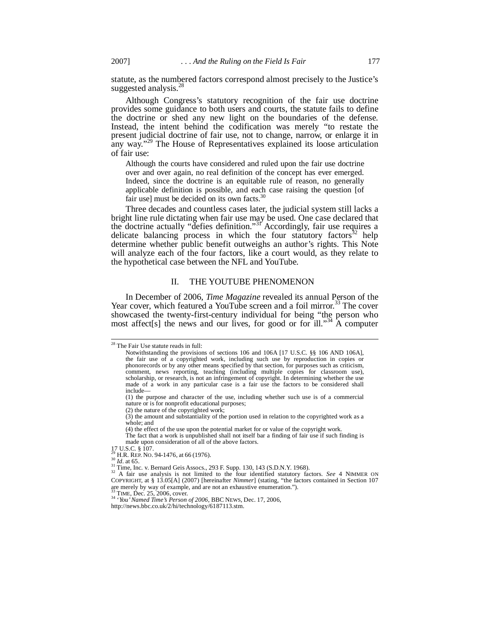statute, as the numbered factors correspond almost precisely to the Justice's suggested analysis.<sup>28</sup>

Although Congress's statutory recognition of the fair use doctrine provides some guidance to both users and courts, the statute fails to define the doctrine or shed any new light on the boundaries of the defense. Instead, the intent behind the codification was merely "to restate the present judicial doctrine of fair use, not to change, narrow, or enlarge it in any way."<sup>29</sup> The House of Representatives explained its loose articulation of fair use:

Although the courts have considered and ruled upon the fair use doctrine over and over again, no real definition of the concept has ever emerged. Indeed, since the doctrine is an equitable rule of reason, no generally applicable definition is possible, and each case raising the question [of fair use] must be decided on its own facts. $30$ 

Three decades and countless cases later, the judicial system still lacks a bright line rule dictating when fair use may be used. One case declared that the doctrine actually "defies definition."<sup>31</sup> Accordingly, fair use requires a delicate balancing process in which the four statutory factors $32$  help determine whether public benefit outweighs an author's rights. This Note will analyze each of the four factors, like a court would, as they relate to the hypothetical case between the NFL and YouTube.

# II. THE YOUTUBE PHENOMENON

In December of 2006, *Time Magazine* revealed its annual Person of the Year cover, which featured a YouTube screen and a foil mirror.<sup>33</sup> The cover showcased the twenty-first-century individual for being "the person who most affect [s] the news and our lives, for good or for ill."<sup>34</sup> A computer

<sup>28</sup> The Fair Use statute reads in full:

Notwithstanding the provisions of sections 106 and 106A [17 U.S.C. §§ 106 AND 106A], the fair use of a copyrighted work, including such use by reproduction in copies or phonorecords or by any other means specified by that section, for purposes such as criticism, comment, news reporting, teaching (including multiple copies for classroom use), scholarship, or research, is not an infringement of copyright. In determining whether the use made of a work in any particular case is a fair use the factors to be considered shall include—

<sup>(1)</sup> the purpose and character of the use, including whether such use is of a commercial nature or is for nonprofit educational purposes;

<sup>(2)</sup> the nature of the copyrighted work;

<sup>(3)</sup> the amount and substantiality of the portion used in relation to the copyrighted work as a whole; and

<sup>(4)</sup> the effect of the use upon the potential market for or value of the copyright work.

The fact that a work is unpublished shall not itself bar a finding of fair use if such finding is made upon consideration of all of the above factors.

<sup>17</sup> U.S.C. § 107. <sup>29</sup> H.R. REP. NO. 94-1476, at 66 (1976).

<sup>30</sup> *Id*. at 65.

<sup>&</sup>lt;sup>31</sup> Time, Inc. v. Bernard Geis Assocs., 293 F. Supp. 130, 143 (S.D.N.Y. 1968).<br><sup>32</sup> A fair use analysis is not limited to the four identified statutory factors. *See* 4 NIMMER ON COPYRIGHT, at § 13.05[A] (2007) [hereinaf are merely by way of example, and are not an exhaustive enumeration.").<br><sup>33</sup> TIME, Dec. 25, 2006, cover.

<sup>34</sup> '*You' Named Time's Person of 2006*, BBC NEWS, Dec. 17, 2006,

http://news.bbc.co.uk/2/hi/technology/6187113.stm.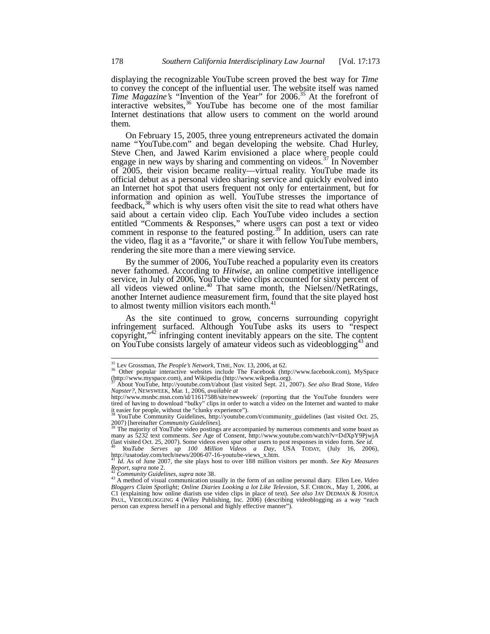displaying the recognizable YouTube screen proved the best way for *Time* to convey the concept of the influential user. The website itself was named *Time Magazine's* "Invention of the Year" for 2006.<sup>35</sup> At the forefront of interactive websites,  $36$  YouTube has become one of the most familiar Internet destinations that allow users to comment on the world around them.

On February 15, 2005, three young entrepreneurs activated the domain name "YouTube.com" and began developing the website. Chad Hurley, Steve Chen, and Jawed Karim envisioned a place where people could engage in new ways by sharing and commenting on videos.<sup>37</sup> In November of 2005, their vision became reality—virtual reality. YouTube made its official debut as a personal video sharing service and quickly evolved into an Internet hot spot that users frequent not only for entertainment, but for information and opinion as well. YouTube stresses the importance of feedback, $38$  which is why users often visit the site to read what others have said about a certain video clip. Each YouTube video includes a section entitled "Comments & Responses," where users can post a text or video comment in response to the featured posting.<sup>39</sup> In addition, users can rate the video, flag it as a "favorite," or share it with fellow YouTube members, rendering the site more than a mere viewing service.

By the summer of 2006, YouTube reached a popularity even its creators never fathomed. According to *Hitwise*, an online competitive intelligence service, in July of 2006, YouTube video clips accounted for sixty percent of all videos viewed online.<sup>40</sup> That same month, the Nielsen/NetRatings, another Internet audience measurement firm, found that the site played host to almost twenty million visitors each month.<sup>41</sup>

As the site continued to grow, concerns surrounding copyright infringement surfaced. Although YouTube asks its users to "respect copyright,"<sup>42</sup> infringing content inevitably appears on the site. The content on YouTube consists largely of amateur videos such as videoblogging<sup>43</sup> and

<sup>35</sup> Lev Grossman, *The People's Network*, TIME, Nov. 13, 2006, at 62.

<sup>36</sup> Other popular interactive websites include The Facebook (http://www.facebook.com), MySpace (http://www.myspace.com), and Wikipedia (http://www.wikpedia.org).

<sup>37</sup> About YouTube, http://youtube.com/t/about (last visited Sept. 21, 2007). *See also* Brad Stone, *Video Napster?*, NEWSWEEK, Mar. 1, 2006, *available at*

http://www.msnbc.msn.com/id/11617588/site/newsweek/ (reporting that the YouTube founders were tired of having to download "bulky" clips in order to watch a video on the Internet and wanted to make it easier for people, without the "clunky experience").<br><sup>38</sup> YouTube Community Guidelines, http://youtube.com/t/community\_guidelines (last visited Oct. 25,

<sup>2007) [</sup>hereinafter *Community Guidelines*]. <sup>39</sup> The majority of YouTube video postings are accompanied by numerous comments and some boast as

many as 5232 text comments. *See* Age of Consent, http://www.youtube.com/watch?v=DdXpY9PjwjA (last visited Oct. 25, 2007). Some videos even spur other users to post responses in video form. *See id*.

<sup>&</sup>lt;sup>40</sup> *YouTube Serves up 100 Million Videos a Day*, USA TODAY, (July 16, 2006), http://usatoday.com/tech/news/2006-07-16-youtube-views\_x.htm.

<sup>41</sup> *Id*. As of June 2007, the site plays host to over 188 million visitors per month. *See Key Measures Report*, *supra* note 2.

<sup>42</sup> *Community Guidelines*, *supra* note 38.

<sup>43</sup> A method of visual communication usually in the form of an online personal diary. Ellen Lee, *Video Bloggers Claim Spotlight; Online Diaries Looking a lot Like Televsion*, S.F. CHRON., May 1, 2006, at C1 (explaining how online diarists use video clips in place of text). *See also* JAY DEDMAN & JOSHUA PAUL, VIDEOBLOGGING 4 (Wiley Publishing, Inc. 2006) (describing videoblogging as a way "each person can express herself in a personal and highly effective manner").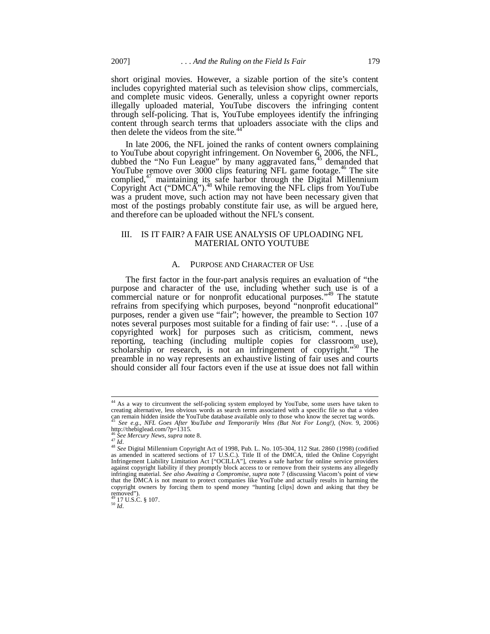short original movies. However, a sizable portion of the site's content includes copyrighted material such as television show clips, commercials, and complete music videos. Generally, unless a copyright owner reports illegally uploaded material, YouTube discovers the infringing content through self-policing. That is, YouTube employees identify the infringing content through search terms that uploaders associate with the clips and then delete the videos from the site.<sup>4</sup>

In late 2006, the NFL joined the ranks of content owners complaining to YouTube about copyright infringement. On November 6, 2006, the NFL, dubbed the "No Fun League" by many aggravated fans,<sup>45</sup> demanded that YouTube remove over  $3000$  clips featuring NFL game footage.<sup>46</sup> The site complied, $47$  maintaining its safe harbor through the Digital Millennium Copyright Act ("DMCA").<sup>48</sup> While removing the NFL clips from YouTube was a prudent move, such action may not have been necessary given that most of the postings probably constitute fair use, as will be argued here, and therefore can be uploaded without the NFL's consent.

## III. IS IT FAIR? A FAIR USE ANALYSIS OF UPLOADING NFL MATERIAL ONTO YOUTUBE

## A. PURPOSE AND CHARACTER OF USE

The first factor in the four-part analysis requires an evaluation of "the purpose and character of the use, including whether such use is of a commercial nature or for nonprofit educational purposes."<sup>49</sup> The statute refrains from specifying which purposes, beyond "nonprofit educational" purposes, render a given use "fair"; however, the preamble to Section 107 notes several purposes most suitable for a finding of fair use: ". . .[use of a copyrighted work] for purposes such as criticism, comment, news reporting, teaching (including multiple copies for classroom use), scholarship or research, is not an infringement of copyright."<sup>50</sup> The preamble in no way represents an exhaustive listing of fair uses and courts should consider all four factors even if the use at issue does not fall within

<sup>&</sup>lt;sup>44</sup> As a way to circumvent the self-policing system employed by YouTube, some users have taken to creating alternative, less obvious words as search terms associated with a specific file so that a video can remain hidden inside the YouTube database available only to those who know the secret tag words. <sup>45</sup> *See e.g.*, *NFL Goes After YouTube and Temporarily Wins (But Not For Long!)*, (Nov. 9, 2006) http://thebiglead.com/?p=1315.

<sup>46</sup> *See Mercury News*, *supra* note 8. <sup>47</sup> *Id*.

<sup>48</sup> *See* Digital Millennium Copyright Act of 1998, Pub. L. No. 105-304, 112 Stat. 2860 (1998) (codified as amended in scattered sections of 17 U.S.C.). Title II of the DMCA, titled the Online Copyright Infringement Liability Limitation Act ["OCILLA"], creates a safe harbor for online service providers against copyright liability if they promptly block access to or remove from their systems any allegedly infringing material. *See also Awaiting a Compromise*, *supra* note 7 (discussing Viacom's point of view that the DMCA is not meant to protect companies like YouTube and actually results in harming the copyright owners by forcing them to spend money "hunting [clips] down and asking that they be removed").

 $49$  17 U.S.C. § 107.

<sup>50</sup> *Id*.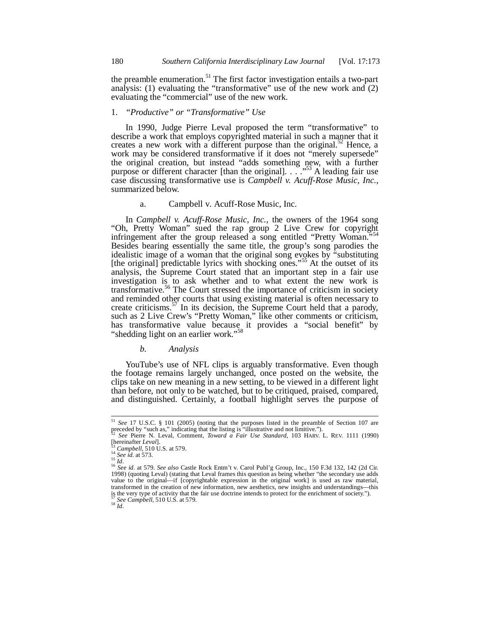the preamble enumeration.<sup>51</sup> The first factor investigation entails a two-part analysis: (1) evaluating the "transformative" use of the new work and (2) evaluating the "commercial" use of the new work.

## 1. *"Productive" or "Transformative" Use*

In 1990, Judge Pierre Leval proposed the term "transformative" to describe a work that employs copyrighted material in such a manner that it creates a new work with a different purpose than the original.<sup>52</sup> Hence, a work may be considered transformative if it does not "merely supersede" the original creation, but instead "adds something new, with a further purpose or different character [than the original]. . . . . . . . A leading fair use case discussing transformative use is *Campbell v. Acuff-Rose Music, Inc.*, summarized below.

#### a. Campbell v. Acuff-Rose Music, Inc.

In *Campbell v. Acuff-Rose Music, Inc.*, the owners of the 1964 song "Oh, Pretty Woman" sued the rap group 2 Live Crew for copyright infringement after the group released a song entitled "Pretty Woman." Besides bearing essentially the same title, the group's song parodies the idealistic image of a woman that the original song evokes by "substituting [the original] predictable lyrics with shocking ones."<sup>55</sup> At the outset of its analysis, the Supreme Court stated that an important step in a fair use investigation is to ask whether and to what extent the new work is transformative.<sup>56</sup> The Court stressed the importance of criticism in society and reminded other courts that using existing material is often necessary to create criticisms.<sup>57</sup> In its decision, the Supreme Court held that a parody, such as 2 Live Crew's "Pretty Woman," like other comments or criticism, has transformative value because it provides a "social benefit" by "shedding light on an earlier work."<sup>58</sup>

### *b. Analysis*

YouTube's use of NFL clips is arguably transformative. Even though the footage remains largely unchanged, once posted on the website, the clips take on new meaning in a new setting, to be viewed in a different light than before, not only to be watched, but to be critiqued, praised, compared, and distinguished. Certainly, a football highlight serves the purpose of

 $^{58}\,\tilde{I}d.$ 

<sup>51</sup> *See* 17 U.S.C. § 101 (2005) (noting that the purposes listed in the preamble of Section 107 are preceded by "such as," indicating that the listing is "illustrative and not limitive."). <sup>52</sup> *See* Pierre N. Leval, Comment, *Toward a Fair Use Standard*, 103 HARV. L. REV. 1111 (1990)

<sup>[</sup>hereinafter *Leval*].

<sup>53</sup> *Campbell*, 510 U.S. at 579. <sup>54</sup> *See id*. at 573.

<sup>55</sup> *Id*.

<sup>&</sup>lt;sup>56</sup> See id. at 579. See also Castle Rock Entm't v. Carol Publ'g Group, Inc., 150 F.3d 132, 142 (2d Cir. 1998) (quoting Leval) (stating that Leval frames this question as being whether "the secondary use adds value to the transformed in the creation of new information, new aesthetics, new insights and understandings—this is the very type of activity that the fair use doctrine intends to protect for the enrichment of society."). <sup>57</sup> *See Campbell*, 510 U.S. at 579.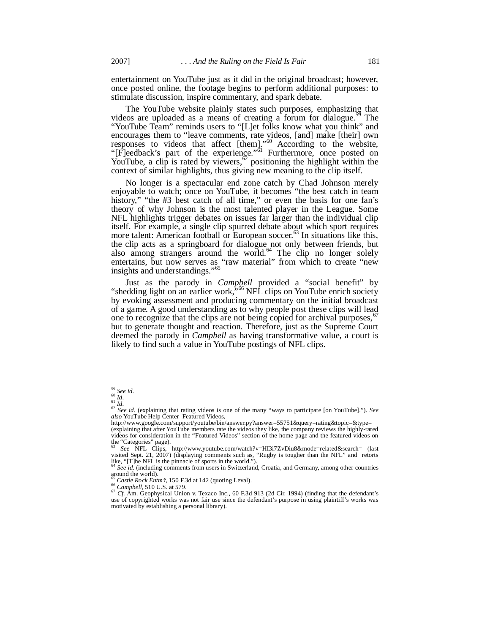entertainment on YouTube just as it did in the original broadcast; however, once posted online, the footage begins to perform additional purposes: to stimulate discussion, inspire commentary, and spark debate.

The YouTube website plainly states such purposes, emphasizing that videos are uploaded as a means of creating a forum for dialogue.<sup>59</sup> The "YouTube Team" reminds users to "[L]et folks know what you think" and encourages them to "leave comments, rate videos, [and] make [their] own responses to videos that affect [them]."<sup>60</sup> According to the website, "[F]eedback's part of the experience."<sup>61</sup> Furthermore, once posted on YouTube, a clip is rated by viewers,  $62$  positioning the highlight within the context of similar highlights, thus giving new meaning to the clip itself.

No longer is a spectacular end zone catch by Chad Johnson merely enjoyable to watch; once on YouTube, it becomes "the best catch in team history," "the #3 best catch of all time," or even the basis for one fan's theory of why Johnson is the most talented player in the League. Some NFL highlights trigger debates on issues far larger than the individual clip itself. For example, a single clip spurred debate about which sport requires more talent: American football or European soccer.<sup>63</sup> In situations like this, the clip acts as a springboard for dialogue not only between friends, but also among strangers around the world.<sup>64</sup> The clip no longer solely entertains, but now serves as "raw material" from which to create "new insights and understandings."<sup>65</sup>

Just as the parody in *Campbell* provided a "social benefit" by "shedding light on an earlier work,"<sup>66</sup> NFL clips on YouTube enrich society by evoking assessment and producing commentary on the initial broadcast of a game. A good understanding as to why people post these clips will lead one to recognize that the clips are not being copied for archival purposes,<sup>6</sup> but to generate thought and reaction. Therefore, just as the Supreme Court deemed the parody in *Campbell* as having transformative value, a court is likely to find such a value in YouTube postings of NFL clips.

<sup>59</sup> *See id*. <sup>60</sup> *Id*.

<sup>61</sup> *Id*.

<sup>62</sup> *See id*. (explaining that rating videos is one of the many "ways to participate [on YouTube]."). *See also* YouTube Help Center–Featured Videos,

http://www.google.com/support/youtube/bin/answer.py?answer=55751&query=rating&topic=&type= (explaining that after YouTube members rate the videos they like, the company reviews the highly-rated videos for consideration in the "Featured Videos" section of the home page and the featured videos on the "Categories" page).

<sup>63</sup> *See* NFL Clips, http://www.youtube.com/watch?v=HI3i7ZvDiu8&mode=related&search= (last visited Sept. 21, 2007) (displaying comments such as, "Rugby is tougher than the NFL" and retorts like, "[T]he NFL is the pinnacle of sports in the world."). <sup>64</sup> *See id*. (including comments from users in Switzerland, Croatia, and Germany, among other countries

around the world).

Castle Rock Entm't, 150 F.3d at 142 (quoting Leval).

<sup>&</sup>lt;sup>66</sup> Campbell, 510 U.S. at 579.<br><sup>67</sup> Cf. Am. Geophysical Union v. Texaco Inc., 60 F.3d 913 (2d Cir. 1994) (finding that the defendant's use of copyrighted works was not fair use since the defendant's purpose in using plai motivated by establishing a personal library).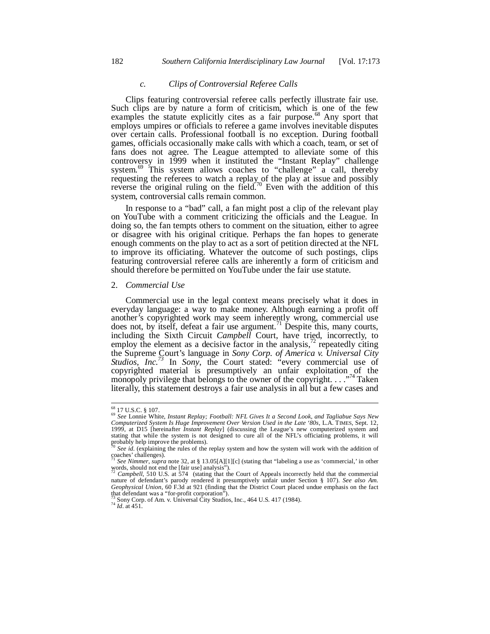# *c. Clips of Controversial Referee Calls*

Clips featuring controversial referee calls perfectly illustrate fair use. Such clips are by nature a form of criticism, which is one of the few examples the statute explicitly cites as a fair purpose.<sup>68</sup> Any sport that employs umpires or officials to referee a game involves inevitable disputes over certain calls. Professional football is no exception. During football games, officials occasionally make calls with which a coach, team, or set of fans does not agree. The League attempted to alleviate some of this controversy in 1999 when it instituted the "Instant Replay" challenge system.<sup>69</sup> This system allows coaches to "challenge" a call, thereby requesting the referees to watch a replay of the play at issue and possibly reverse the original ruling on the field.<sup>70</sup> Even with the addition of this system, controversial calls remain common.

In response to a "bad" call, a fan might post a clip of the relevant play on YouTube with a comment criticizing the officials and the League. In doing so, the fan tempts others to comment on the situation, either to agree or disagree with his original critique. Perhaps the fan hopes to generate enough comments on the play to act as a sort of petition directed at the NFL to improve its officiating. Whatever the outcome of such postings, clips featuring controversial referee calls are inherently a form of criticism and should therefore be permitted on YouTube under the fair use statute.

## 2. *Commercial Use*

Commercial use in the legal context means precisely what it does in everyday language: a way to make money. Although earning a profit off another's copyrighted work may seem inherently wrong, commercial use does not, by itself, defeat a fair use argument.<sup>71</sup> Despite this, many courts, including the Sixth Circuit *Campbell* Court, have tried, incorrectly, to employ the element as a decisive factor in the analysis,<sup> $72$ </sup> repeatedly citing the Supreme Court's language in *Sony Corp. of America v. Universal City Studios, Inc.<sup>73</sup>* In *Sony*, the Court stated: "every commercial use of copyrighted material is presumptively an unfair exploitation of the monopoly privilege that belongs to the owner of the copyright.  $\ldots$ <sup>74</sup> Taken literally, this statement destroys a fair use analysis in all but a few cases and

<sup>&</sup>lt;sup>68</sup> 17 U.S.C. § 107.<br><sup>69</sup> See Lonnie White, *Instant Replay; Football: NFL Gives It a Second Look, and Tagliabue Says New*<br>Computerized System Is Huge Improvement Over Version Used in the Late '80s, L.A. TIMES, Sept. 12, 1999, at D15 [hereinafter *Instant Replay*] (discussing the League's new computerized system and stating that while the system is not designed to cure all of the NFL's officiating problems, it will probably help improve the problems).

<sup>&</sup>lt;sup>70</sup> See id. (explaining the rules of the replay system and how the system will work with the addition of coaches' challenges).<br><sup>71</sup> See Nimmer, supra note 32, at § 13.05[A][1][c] (stating that "labeling a use as 'commerc

words, should not end the [fair use] analysis").<br><sup>72</sup> *Campbell*, 510 U.S. at 574 (stating that the Court of Appeals incorrectly held that the commercial

nature of defendant's parody rendered it presumptively unfair under Section § 107). *See also Am. Geophysical Union*, 60 F.3d at 921 (finding that the District Court placed undue emphasis on the fact that defendant was a "for-profit corporation").

Sony Corp. of Am. v. Universal City Studios, Inc., 464 U.S. 417 (1984).

<sup>74</sup> *Id*. at 451.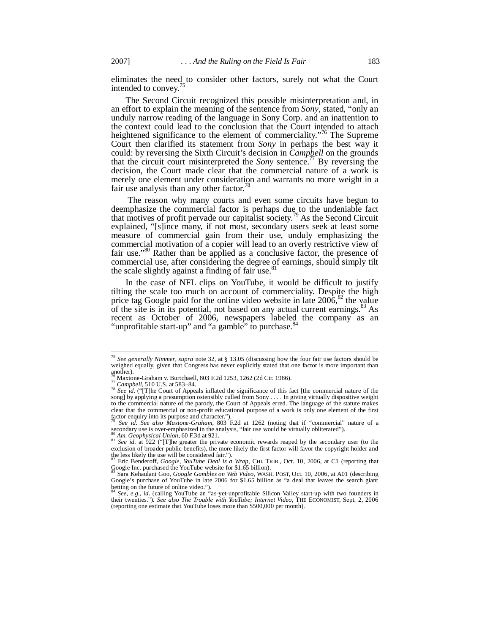eliminates the need to consider other factors, surely not what the Court intended to convey.<sup>75</sup>

The Second Circuit recognized this possible misinterpretation and, in an effort to explain the meaning of the sentence from *Sony*, stated, "only an unduly narrow reading of the language in Sony Corp. and an inattention to the context could lead to the conclusion that the Court intended to attach heightened significance to the element of commerciality."<sup>76</sup> The Supreme Court then clarified its statement from *Sony* in perhaps the best way it could: by reversing the Sixth Circuit's decision in *Campbell* on the grounds that the circuit court misinterpreted the *Sony* sentence.<sup>77</sup> By reversing the decision, the Court made clear that the commercial nature of a work is merely one element under consideration and warrants no more weight in a fair use analysis than any other factor.<sup>78</sup>

 The reason why many courts and even some circuits have begun to deemphasize the commercial factor is perhaps due to the undeniable fact that motives of profit pervade our capitalist society.<sup>79</sup> As the Second Circuit explained, "[s]ince many, if not most, secondary users seek at least some measure of commercial gain from their use, unduly emphasizing the commercial motivation of a copier will lead to an overly restrictive view of fair use."<sup>80</sup> Rather than be applied as a conclusive factor, the presence of commercial use, after considering the degree of earnings, should simply tilt the scale slightly against a finding of fair use.<sup>81</sup>

In the case of NFL clips on YouTube, it would be difficult to justify tilting the scale too much on account of commerciality. Despite the high price tag Google paid for the online video website in late  $2006$ ,  $82$  the value of the site is in its potential, not based on any actual current earnings. $83$  As recent as October of 2006, newspapers labeled the company as an "unprofitable start-up" and "a gamble" to purchase.<sup>84</sup>

<sup>75</sup> *See generally Nimmer*, *supra* note 32, at § 13.05 (discussing how the four fair use factors should be weighed equally, given that Congress has never explicitly stated that one factor is more important than another).

Maxtone-Graham v. Burtchaell, 803 F.2d 1253, 1262 (2d Cir. 1986).

<sup>77</sup> *Campbell*, 510 U.S. at 583–84.

<sup>&</sup>lt;sup>78</sup> See id. ("[T]he Court of Appeals inflated the significance of this fact [the commercial nature of the song] by applying a presumption ostensibly culled from Sony . . . . In giving virtually dispositive weight to the commercial nature of the parody, the Court of Appeals erred. The language of the statute makes clear that the commercial or non-profit educational purpose of a work is only one element of the first factor enquiry into its purpose and character.").

<sup>79</sup> *See id*. *See also Maxtone-Graham,* 803 F.2d at 1262 (noting that if "commercial" nature of a secondary use is over-emphasized in the analysis, "fair use would be virtually obliterated").

<sup>80</sup> *Am. Geophysical Union*, 60 F.3d at 921. <sup>81</sup> *See id*. at 922 ("[T]he greater the private economic rewards reaped by the secondary user (to the exclusion of broader public benefits), the more likely the first factor will favor the copyright holder and the less likely the use will be considered fair.").

<sup>82</sup> Eric Benderoff, *Google, YouTube Deal is a Wrap*, CHI. TRIB., Oct. 10, 2006, at C1 (reporting that Google Inc. purchased the YouTube website for \$1.65 billion).

<sup>83</sup> Sara Kehaulani Goo, *Google Gambles on Web Video*, WASH. POST, Oct. 10, 2006, at A01 (describing Google's purchase of YouTube in late 2006 for \$1.65 billion as "a deal that leaves the search giant betting on the future of online video."). <sup>84</sup> *See, e.g.*, *id*. (calling YouTube an "as-yet-unprofitable Silicon Valley start-up with two founders in

their twenties."). *See also The Trouble with YouTube; Internet Video*, THE ECONOMIST, Sept. 2, 2006 (reporting one estimate that YouTube loses more than \$500,000 per month).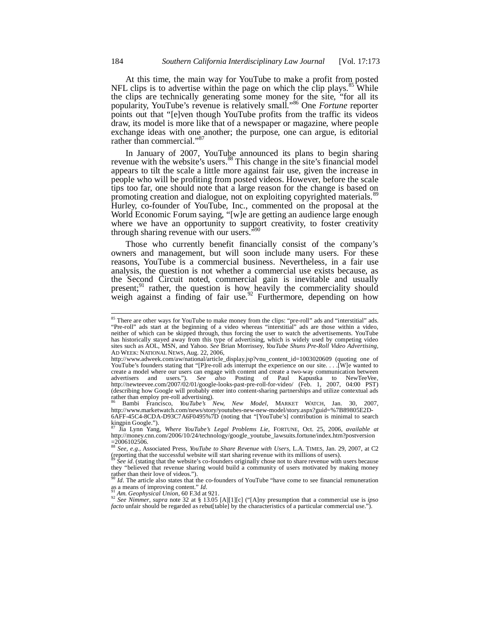At this time, the main way for YouTube to make a profit from posted NFL clips is to advertise within the page on which the clip plays.<sup>85</sup> While the clips are technically generating some money for the site, "for all its popularity, YouTube's revenue is relatively small."<sup>86</sup> One *Fortune* reporter points out that "[e]ven though YouTube profits from the traffic its videos draw, its model is more like that of a newspaper or magazine, where people exchange ideas with one another; the purpose, one can argue, is editorial rather than commercial."<sup>87</sup>

In January of 2007, YouTube announced its plans to begin sharing revenue with the website's users.<sup>88</sup> This change in the site's financial model appears to tilt the scale a little more against fair use, given the increase in people who will be profiting from posted videos. However, before the scale tips too far, one should note that a large reason for the change is based on promoting creation and dialogue, not on exploiting copyrighted materials.<sup>89</sup> Hurley, co-founder of YouTube, Inc., commented on the proposal at the World Economic Forum saying, "[w]e are getting an audience large enough where we have an opportunity to support creativity, to foster creativity through sharing revenue with our users."

Those who currently benefit financially consist of the company's owners and management, but will soon include many users. For these reasons, YouTube is a commercial business. Nevertheless, in a fair use analysis, the question is not whether a commercial use exists because, as the Second Circuit noted, commercial gain is inevitable and usually present;<sup>91</sup> rather, the question is how heavily the commerciality should weigh against a finding of fair use.<sup>92</sup> Furthermore, depending on how

<sup>91</sup> *Am. Geophysical Union*, 60 F.3d at 921.

<sup>92</sup> See Nimmer, *supra* note 32 at § 13.05 [A][1][c] ("[A]ny presumption that a commercial use is *ipso facto* unfair should be regarded as rebut[table] by the characteristics of a particular commercial use.").

<sup>&</sup>lt;sup>85</sup> There are other ways for YouTube to make money from the clips: "pre-roll" ads and "interstitial" ads. "Pre-roll" ads start at the beginning of a video whereas "interstitial" ads are those within a video, neither of which can be skipped through, thus forcing the user to watch the advertisements. YouTube has historically stayed away from this type of advertising, which is widely used by competing video sites such as AOL, MSN, and Yahoo. *See* Brian Morrissey, *YouTube Shuns Pre-Roll Video Advertising*, AD WEEK: NATIONAL NEWS, Aug. 22, 2006,

http://www.adweek.com/aw/national/article\_display.jsp?vnu\_content\_id=1003020609 (quoting one of YouTube's founders stating that "[P]re-roll ads interrupt the experience on our site. . . .[W]e wanted to create a model where our users can engage with content and create a two-way communication between advertisers and users."). *See also* Posting of Paul Kapustka to NewTeeVee, http://newteevee.com/2007/02/01/google-looks-past-pre-roll-for-video/ (Feb. 1, 2007, 04:00 PST) (describing how Google will probably enter into content-sharing partnerships and utilize contextual ads rather than employ pre-roll advertising).

Bambi Francisco, *YouTube's New, New Model*, MARKET WATCH, Jan. 30, http://www.marketwatch.com/news/story/youtubes-new-new-model/story.aspx?guid=%7B89805E2D-6AFF-45C4-8CDA-D93C7A6F0495%7D (noting that "[YouTube's] contribution is minimal to search kingpin Google.").

<sup>87</sup> Jia Lynn Yang, *Where YouTube's Legal Problems Lie*, FORTUNE, Oct. 25, 2006, *available at* http://money.cnn.com/2006/10/24/technology/google\_youtube\_lawsuits.fortune/index.htm?postversion

<sup>=2006102506.&</sup>lt;br><sup>88</sup> *See, e.g.*, Associated Press, *YouTube to Share Revenue with Users*, L.A. TIMES, Jan. 29, 2007, at C2<br>(reporting that the successful website will start sharing revenue with its millions of users).

See id. (stating that the website's co-founders originally chose not to share revenue with users because they "believed that revenue sharing would build a community of users motivated by making money rather than their love of videos."). <sup>90</sup> *Id*. The article also states that the co-founders of YouTube "have come to see financial remuneration

as a means of improving content." *Id*.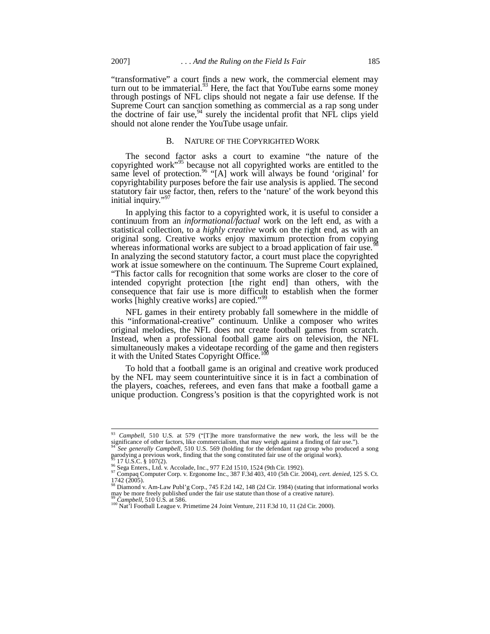"transformative" a court finds a new work, the commercial element may turn out to be immaterial.<sup>93</sup> Here, the fact that YouTube earns some money through postings of NFL clips should not negate a fair use defense. If the Supreme Court can sanction something as commercial as a rap song under the doctrine of fair use,<sup>94</sup> surely the incidental profit that NFL clips yield should not alone render the YouTube usage unfair.

#### B. NATURE OF THE COPYRIGHTED WORK

The second factor asks a court to examine "the nature of the copyrighted work"<sup>95</sup> because not all copyrighted works are entitled to the same level of protection.<sup>96</sup> "[A] work will always be found 'original' for copyrightability purposes before the fair use analysis is applied. The second statutory fair use factor, then, refers to the 'nature' of the work beyond this initial inquiry."

In applying this factor to a copyrighted work, it is useful to consider a continuum from an *informational/factual* work on the left end, as with a statistical collection, to a *highly creative* work on the right end, as with an original song. Creative works enjoy maximum protection from copying whereas informational works are subject to a broad application of fair use.<sup>9</sup> In analyzing the second statutory factor, a court must place the copyrighted work at issue somewhere on the continuum. The Supreme Court explained, "This factor calls for recognition that some works are closer to the core of intended copyright protection [the right end] than others, with the consequence that fair use is more difficult to establish when the former works [highly creative works] are copied."<sup>99</sup>

NFL games in their entirety probably fall somewhere in the middle of this "informational-creative" continuum. Unlike a composer who writes original melodies, the NFL does not create football games from scratch. Instead, when a professional football game airs on television, the NFL simultaneously makes a videotape recording of the game and then registers it with the United States Copyright Office.<sup>10</sup>

To hold that a football game is an original and creative work produced by the NFL may seem counterintuitive since it is in fact a combination of the players, coaches, referees, and even fans that make a football game a unique production. Congress's position is that the copyrighted work is not

<sup>93</sup> *Campbell*, 510 U.S. at 579 ("[T]he more transformative the new work, the less will be the significance of other factors, like commercialism, that may weigh against a finding of fair use.").

<sup>&</sup>lt;sup>94</sup> See generally Campbell, 510 U.S. 569 (holding for the defendant rap group who produced a song parodying a previous work, finding that the song constituted fair use of the original work).  $17 \text{ U.S.C. }$ §  $107(2)$ .

<sup>96</sup> Sega Enters., Ltd. v. Accolade, Inc., 977 F.2d 1510, 1524 (9th Cir. 1992). <sup>97</sup> Compaq Computer Corp. v. Ergonome Inc., 387 F.3d 403, 410 (5th Cir. 2004), *cert. denied*, 125 S. Ct.

<sup>1742 (2005).</sup> <sup>98</sup> Diamond v. Am-Law Publ'g Corp., 745 F.2d 142, 148 (2d Cir. 1984) (stating that informational works may be more freely published under the fair use statute than those of a creative nature).

<sup>99</sup> *Campbell*, 510 U.S. at 586.

<sup>&</sup>lt;sup>100</sup> Nat<sup>5</sup>l Football League v. Primetime 24 Joint Venture, 211 F.3d 10, 11 (2d Cir. 2000).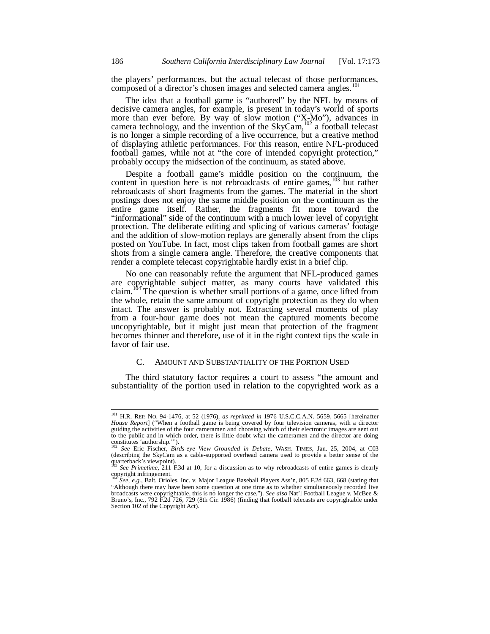the players' performances, but the actual telecast of those performances, composed of a director's chosen images and selected camera angles.<sup>101</sup>

The idea that a football game is "authored" by the NFL by means of decisive camera angles, for example, is present in today's world of sports more than ever before. By way of slow motion ("X-Mo"), advances in camera technology, and the invention of the SkyCam,  $102$  a football telecast is no longer a simple recording of a live occurrence, but a creative method of displaying athletic performances. For this reason, entire NFL-produced football games, while not at "the core of intended copyright protection," probably occupy the midsection of the continuum, as stated above.

Despite a football game's middle position on the continuum, the content in question here is not rebroadcasts of entire games, $103$  but rather rebroadcasts of short fragments from the games. The material in the short postings does not enjoy the same middle position on the continuum as the entire game itself. Rather, the fragments fit more toward the "informational" side of the continuum with a much lower level of copyright protection. The deliberate editing and splicing of various cameras' footage and the addition of slow-motion replays are generally absent from the clips posted on YouTube. In fact, most clips taken from football games are short shots from a single camera angle. Therefore, the creative components that render a complete telecast copyrightable hardly exist in a brief clip.

No one can reasonably refute the argument that NFL-produced games are copyrightable subject matter, as many courts have validated this claim.<sup>104</sup> The question is whether small portions of a game, once lifted from the whole, retain the same amount of copyright protection as they do when intact. The answer is probably not. Extracting several moments of play from a four-hour game does not mean the captured moments become uncopyrightable, but it might just mean that protection of the fragment becomes thinner and therefore, use of it in the right context tips the scale in favor of fair use.

## C. AMOUNT AND SUBSTANTIALITY OF THE PORTION USED

The third statutory factor requires a court to assess "the amount and substantiality of the portion used in relation to the copyrighted work as a

<sup>101</sup> H.R. REP. NO. 94-1476, at 52 (1976), *as reprinted in* 1976 U.S.C.C.A.N. 5659, 5665 [hereinafter *House Report*] ("When a football game is being covered by four television cameras, with a director guiding the activities of the four cameramen and choosing which of their electronic images are sent out to the public and in which order, there is little doubt what the cameramen and the director are doing constitutes 'authorship.'").

<sup>&</sup>lt;sup>102</sup> *See* Eric Fischer, *Birds-eye View Grounded in Debate*, WASH. TIMES, Jan. 25, 2004, at C03 (describing the SkyCam as a cable-supported overhead camera used to provide a better sense of the quarterback's viewpoint).

<sup>103</sup> *See Primetime*, 211 F.3d at 10, for a discussion as to why rebroadcasts of entire games is clearly copyright infringement.

 $\overline{See}$ , e.g., Balt. Orioles, Inc. v. Major League Baseball Players Ass'n, 805 F.2d 663, 668 (stating that "Although there may have been some question at one time as to whether simultaneously recorded live broadcasts were copyrightable, this is no longer the case."). *See also* Nat'l Football League v. McBee & Bruno's, Inc., 792 F.2d 726, 729 (8th Cir. 1986) (finding that football telecasts are copyrightable under Section 102 of the Copyright Act).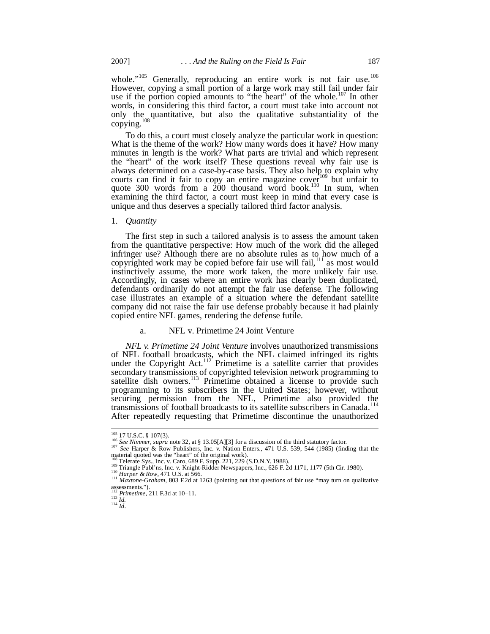whole." $105$  Generally, reproducing an entire work is not fair use. $106$ However, copying a small portion of a large work may still fail under fair use if the portion copied amounts to "the heart" of the whole.<sup>107</sup> In other words, in considering this third factor, a court must take into account not only the quantitative, but also the qualitative substantiality of the  $copying.<sup>108</sup>$ 

To do this, a court must closely analyze the particular work in question: What is the theme of the work? How many words does it have? How many minutes in length is the work? What parts are trivial and which represent the "heart" of the work itself? These questions reveal why fair use is always determined on a case-by-case basis. They also help to explain why courts can find it fair to copy an entire magazine  $cove<sub>r</sub><sup>109</sup>$  but unfair to quote 300 words from a  $200$  thousand word book.<sup>110</sup> In sum, when examining the third factor, a court must keep in mind that every case is unique and thus deserves a specially tailored third factor analysis.

1. *Quantity*

The first step in such a tailored analysis is to assess the amount taken from the quantitative perspective: How much of the work did the alleged infringer use? Although there are no absolute rules as to how much of a copyrighted work may be copied before fair use will fail,  $111$  as most would instinctively assume, the more work taken, the more unlikely fair use. Accordingly, in cases where an entire work has clearly been duplicated, defendants ordinarily do not attempt the fair use defense. The following case illustrates an example of a situation where the defendant satellite company did not raise the fair use defense probably because it had plainly copied entire NFL games, rendering the defense futile.

## a. NFL v. Primetime 24 Joint Venture

*NFL v. Primetime 24 Joint Venture* involves unauthorized transmissions of NFL football broadcasts, which the NFL claimed infringed its rights under the Copyright Act.<sup>112</sup> Primetime is a satellite carrier that provides secondary transmissions of copyrighted television network programming to satellite dish owners.<sup>113</sup> Primetime obtained a license to provide such programming to its subscribers in the United States; however, without securing permission from the NFL, Primetime also provided the transmissions of football broadcasts to its satellite subscribers in Canada.<sup>114</sup> After repeatedly requesting that Primetime discontinue the unauthorized

 $^{114}$  *Id.* 

 $105$  17 U.S.C. § 107(3).

<sup>106</sup> *See Nimmer*, *supra* note 32, at § 13.05[A][3] for a discussion of the third statutory factor.

<sup>&</sup>lt;sup>107</sup> *See* Harper & Row Publishers, Inc. v. Nation Enters., 471 U.S. 539, 544 (1985) (finding that the material quoted was the "heart" of the original work).

<sup>&</sup>lt;sup>108</sup> Telerate Sys., Inc. v. Caro, 689 F. Supp. 221, 229 (S.D.N.Y. 1988).

<sup>&</sup>lt;sup>109</sup> Triangle Publ'ns, Inc. v. Knight-Ridder Newspapers, Inc., 626 F. 2d 1171, 1177 (5th Cir. 1980). <sup>110</sup> Harper & Row, 471 U.S. at 566.

<sup>&</sup>lt;sup>111</sup> *Maxtone-Graham*, 803 F.2d at 1263 (pointing out that questions of fair use "may turn on qualitative" assessments."). <sup>112</sup> *Primetime*, 211 F.3d at 10–11. <sup>113</sup> *Id.*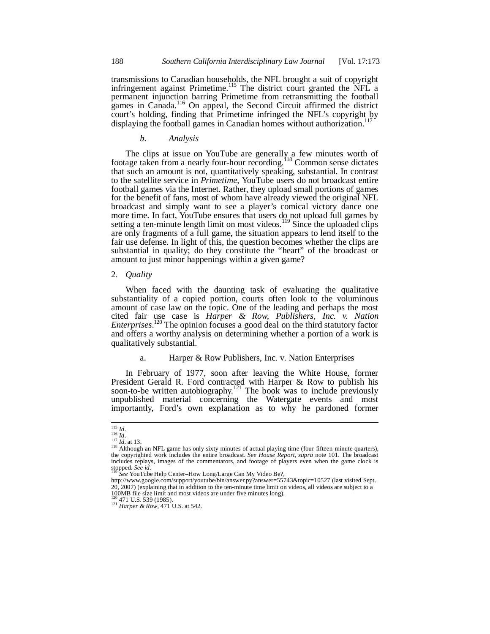transmissions to Canadian households, the NFL brought a suit of copyright infringement against Primetime.<sup>115</sup> The district court granted the NFL a permanent injunction barring Primetime from retransmitting the football games in Canada.<sup>116</sup> On appeal, the Second Circuit affirmed the district court's holding, finding that Primetime infringed the NFL's copyright by displaying the football games in Canadian homes without authorization.<sup>1</sup>

*b. Analysis*

The clips at issue on YouTube are generally a few minutes worth of footage taken from a nearly four-hour recording.<sup>118</sup> Common sense dictates that such an amount is not, quantitatively speaking, substantial. In contrast to the satellite service in *Primetime*, YouTube users do not broadcast entire football games via the Internet. Rather, they upload small portions of games for the benefit of fans, most of whom have already viewed the original NFL broadcast and simply want to see a player's comical victory dance one more time. In fact, YouTube ensures that users do not upload full games by setting a ten-minute length limit on most videos.<sup>119</sup> Since the uploaded clips are only fragments of a full game, the situation appears to lend itself to the fair use defense. In light of this, the question becomes whether the clips are substantial in quality; do they constitute the "heart" of the broadcast or amount to just minor happenings within a given game?

2. *Quality*

When faced with the daunting task of evaluating the qualitative substantiality of a copied portion, courts often look to the voluminous amount of case law on the topic. One of the leading and perhaps the most cited fair use case is *Harper & Row, Publishers, Inc. v. Nation Enterprises*. <sup>120</sup> The opinion focuses a good deal on the third statutory factor and offers a worthy analysis on determining whether a portion of a work is qualitatively substantial.

## a. Harper & Row Publishers, Inc. v. Nation Enterprises

In February of 1977, soon after leaving the White House, former President Gerald R. Ford contracted with Harper & Row to publish his soon-to-be written autobiography.<sup>121</sup> The book was to include previously unpublished material concerning the Watergate events and most importantly, Ford's own explanation as to why he pardoned former

<sup>115</sup> *Id*. <sup>116</sup> *Id*. <sup>117</sup> *Id*. at 13.

<sup>&</sup>lt;sup>118</sup> Although an NFL game has only sixty minutes of actual playing time (four fifteen-minute quarters), the copyrighted work includes the entire broadcast. *See House Report*, *supra* note 101. The broadcast includes rep stopped. *See id*.

<sup>119</sup> *See* YouTube Help Center–How Long/Large Can My Video Be?,

http://www.google.com/support/youtube/bin/answer.py?answer=55743&topic=10527 (last visited Sept. 20, 2007) (explaining that in addition to the ten-minute time limit on videos, all videos are subject to a 100MB file size limit and most videos are under five minutes long).

<sup>&</sup>lt;sup>2</sup> 471 U.S. 539 (1985).

<sup>121</sup> *Harper & Row*, 471 U.S. at 542.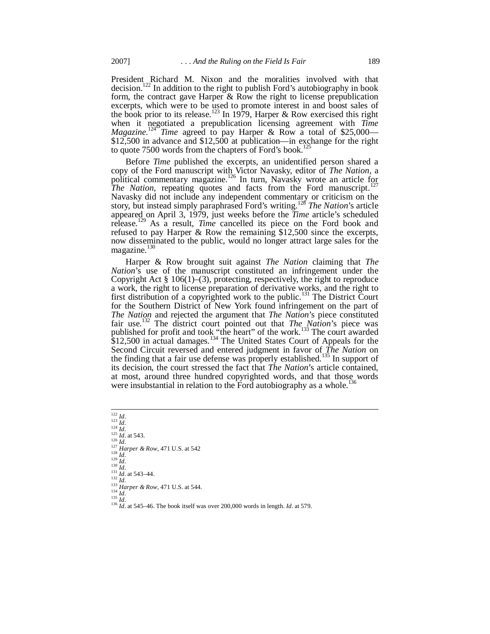President Richard M. Nixon and the moralities involved with that decision.<sup>122</sup> In addition to the right to publish Ford's autobiography in book form, the contract gave Harper  $\&$  Row the right to license prepublication excerpts, which were to be used to promote interest in and boost sales of the book prior to its release.<sup>123</sup> In 1979, Harper & Row exercised this right when it negotiated a prepublication licensing agreement with *Time Magazine*.<sup>124</sup> *Time* agreed to pay Harper & Row a total of \$25,000— \$12,500 in advance and \$12,500 at publication—in exchange for the right to quote 7500 words from the chapters of Ford's book.<sup>125</sup>

Before *Time* published the excerpts, an unidentified person shared a copy of the Ford manuscript with Victor Navasky, editor of *The Nation*, a political commentary magazine.<sup>126</sup> In turn, Navasky wrote an article for *The Nation*, repeating quotes and facts from the Ford manuscript.<sup>1</sup> Navasky did not include any independent commentary or criticism on the story, but instead simply paraphrased Ford's writing.<sup>128</sup> *The Nation*'s article appeared on April 3, 1979, just weeks before the *Time* article's scheduled release.<sup>129</sup> As a result, *Time* cancelled its piece on the Ford book and refused to pay Harper & Row the remaining \$12,500 since the excerpts, now disseminated to the public, would no longer attract large sales for the magazine.<sup>130</sup>

Harper & Row brought suit against *The Nation* claiming that *The Nation*'s use of the manuscript constituted an infringement under the Copyright Act § 106(1)–(3), protecting, respectively, the right to reproduce a work, the right to license preparation of derivative works, and the right to first distribution of a copyrighted work to the public.<sup>131</sup> The District Court for the Southern District of New York found infringement on the part of *The Nation* and rejected the argument that *The Nation*'s piece constituted fair use.<sup>132</sup> The district court pointed out that *The Nation*'s piece was published for profit and took "the heart" of the work.<sup>133</sup> The court awarded  $$12,500$  in actual damages.<sup>134</sup> The United States Court of Appeals for the Second Circuit reversed and entered judgment in favor of *The Nation* on the finding that a fair use defense was properly established.<sup>135</sup> In support of its decision, the court stressed the fact that *The Nation*'s article contained, at most, around three hundred copyrighted words, and that those words were insubstantial in relation to the Ford autobiography as a whole.<sup>136</sup>

 *Id*. <sup>123</sup> *Id*. *Id*. <sup>125</sup> *Id*. at 543. <sup>126</sup> *Id*. *Harper & Row*, 471 U.S. at 542 <sup>128</sup> *Id*. <sup>129</sup> *Id*. *Id*. <sup>131</sup> *Id*. at 543–44.  $\frac{13}{132}$  *Id. Harper & Row*, 471 U.S. at 544. *Id*. <sup>135</sup> *Id*. *Id*. at 545–46. The book itself was over 200,000 words in length. *Id*. at 579.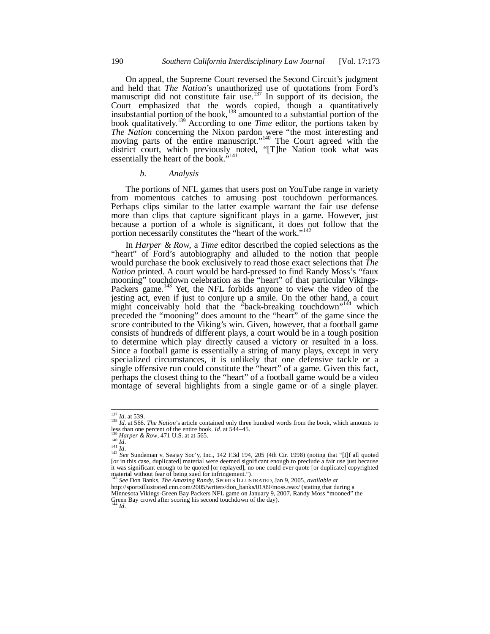On appeal, the Supreme Court reversed the Second Circuit's judgment and held that *The Nation*'s unauthorized use of quotations from Ford's manuscript did not constitute fair use.<sup>137</sup> In support of its decision, the Court emphasized that the words copied, though a quantitatively insubstantial portion of the book,  $^{138}$  amounted to a substantial portion of the book qualitatively.<sup>139</sup> According to one *Time* editor, the portions taken by *The Nation* concerning the Nixon pardon were "the most interesting and moving parts of the entire manuscript."<sup>140</sup> The Court agreed with the district court, which previously noted, "[T]he Nation took what was essentially the heart of the book."<sup>141</sup>

### *b. Analysis*

The portions of NFL games that users post on YouTube range in variety from momentous catches to amusing post touchdown performances. Perhaps clips similar to the latter example warrant the fair use defense more than clips that capture significant plays in a game. However, just because a portion of a whole is significant, it does not follow that the portion necessarily constitutes the "heart of the work."<sup>142</sup>

In *Harper & Row*, a *Time* editor described the copied selections as the "heart" of Ford's autobiography and alluded to the notion that people would purchase the book exclusively to read those exact selections that *The Nation* printed. A court would be hard-pressed to find Randy Moss's "faux mooning" touchdown celebration as the "heart" of that particular Vikings-Packers game.<sup>143</sup> Yet, the NFL forbids anyone to view the video of the jesting act, even if just to conjure up a smile. On the other hand, a court might conceivably hold that the "back-breaking touchdown"<sup>144</sup> which preceded the "mooning" does amount to the "heart" of the game since the score contributed to the Viking's win. Given, however, that a football game consists of hundreds of different plays, a court would be in a tough position to determine which play directly caused a victory or resulted in a loss. Since a football game is essentially a string of many plays, except in very specialized circumstances, it is unlikely that one defensive tackle or a single offensive run could constitute the "heart" of a game. Given this fact, perhaps the closest thing to the "heart" of a football game would be a video montage of several highlights from a single game or of a single player.

<sup>137</sup> *Id*. at 539. <sup>138</sup> *Id*. at 566. *The Nation*'s article contained only three hundred words from the book, which amounts to less than one percent of the entire book. *Id*. at 544–45.

<sup>139</sup> *Harper & Row*, 471 U.S. at at 565. <sup>140</sup> *Id*.

<sup>141</sup> *Id*. <sup>142</sup> *See* Sundeman v. Seajay Soc'y, Inc., 142 F.3d 194, 205 (4th Cir. 1998) (noting that "[I]f all quoted [or in this case, duplicated] material were deemed significant enough to preclude a fair use just because it was significant enough to be quoted [or replayed], no one could ever quote [or duplicate] copyrighted material without fear of being sued for infringement."). <sup>143</sup> *See* Don Banks, *The Amazing Randy*, SPORTS ILLUSTRATED, Jan 9, 2005, *available at*

http://sportsillustrated.cnn.com/2005/writers/don\_banks/01/09/moss.reax/ (stating that during a Minnesota Vikings-Green Bay Packers NFL game on January 9, 2007, Randy Moss "mooned" the Green Bay crowd after scoring his second touchdown of the day). <sup>144</sup> *Id*.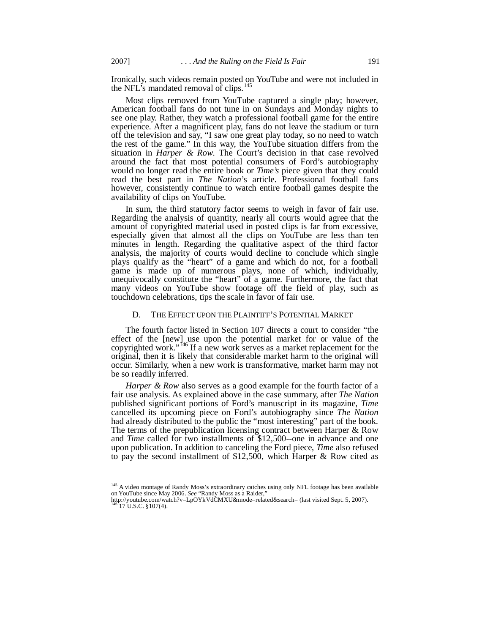Ironically, such videos remain posted on YouTube and were not included in the NFL's mandated removal of clips.<sup>145</sup>

Most clips removed from YouTube captured a single play; however, American football fans do not tune in on Sundays and Monday nights to see one play. Rather, they watch a professional football game for the entire experience. After a magnificent play, fans do not leave the stadium or turn off the television and say, "I saw one great play today, so no need to watch the rest of the game." In this way, the YouTube situation differs from the situation in *Harper & Row*. The Court's decision in that case revolved around the fact that most potential consumers of Ford's autobiography would no longer read the entire book or *Time's* piece given that they could read the best part in *The Nation*'s article. Professional football fans however, consistently continue to watch entire football games despite the availability of clips on YouTube.

In sum, the third statutory factor seems to weigh in favor of fair use. Regarding the analysis of quantity, nearly all courts would agree that the amount of copyrighted material used in posted clips is far from excessive, especially given that almost all the clips on YouTube are less than ten minutes in length. Regarding the qualitative aspect of the third factor analysis, the majority of courts would decline to conclude which single plays qualify as the "heart" of a game and which do not, for a football game is made up of numerous plays, none of which, individually, unequivocally constitute the "heart" of a game. Furthermore, the fact that many videos on YouTube show footage off the field of play, such as touchdown celebrations, tips the scale in favor of fair use.

#### D. THE EFFECT UPON THE PLAINTIFF'S POTENTIAL MARKET

The fourth factor listed in Section 107 directs a court to consider "the effect of the [new] use upon the potential market for or value of the copyrighted work."<sup>146</sup> If a new work serves as a market replacement for the original, then it is likely that considerable market harm to the original will occur. Similarly, when a new work is transformative, market harm may not be so readily inferred.

*Harper & Row* also serves as a good example for the fourth factor of a fair use analysis. As explained above in the case summary, after *The Nation* published significant portions of Ford's manuscript in its magazine, *Time* cancelled its upcoming piece on Ford's autobiography since *The Nation* had already distributed to the public the "most interesting" part of the book. The terms of the prepublication licensing contract between Harper & Row and *Time* called for two installments of \$12,500--one in advance and one upon publication. In addition to canceling the Ford piece, *Time* also refused to pay the second installment of \$12,500, which Harper & Row cited as

<sup>145</sup> A video montage of Randy Moss's extraordinary catches using only NFL footage has been available on YouTube since May 2006. *See* "Randy Moss as a Raider,"

http://youtube.com/watch?v=LpOYkVdCMXU&mode=related&search= (last visited Sept. 5, 2007).<br><sup>146</sup> 17 U.S.C. §107(4).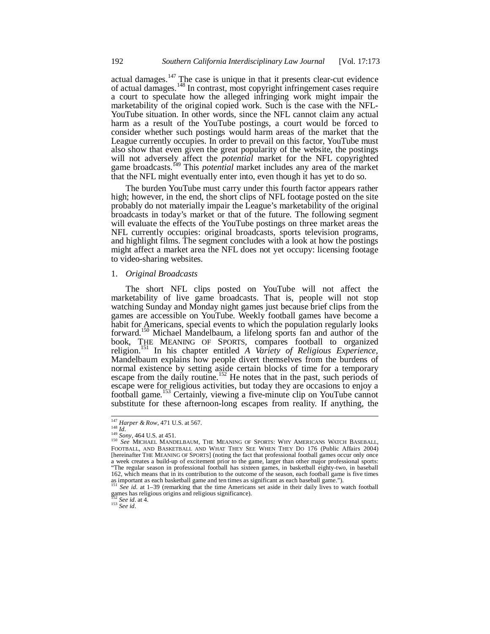actual damages.<sup>147</sup> The case is unique in that it presents clear-cut evidence of actual damages.<sup>148</sup> In contrast, most copyright infringement cases require a court to speculate how the alleged infringing work might impair the marketability of the original copied work. Such is the case with the NFL-YouTube situation. In other words, since the NFL cannot claim any actual harm as a result of the YouTube postings, a court would be forced to consider whether such postings would harm areas of the market that the League currently occupies. In order to prevail on this factor, YouTube must also show that even given the great popularity of the website, the postings will not adversely affect the *potential* market for the NFL copyrighted game broadcasts.<sup>149</sup> This *potential* market includes any area of the market that the NFL might eventually enter into, even though it has yet to do so.

The burden YouTube must carry under this fourth factor appears rather high; however, in the end, the short clips of NFL footage posted on the site probably do not materially impair the League's marketability of the original broadcasts in today's market or that of the future. The following segment will evaluate the effects of the YouTube postings on three market areas the NFL currently occupies: original broadcasts, sports television programs, and highlight films. The segment concludes with a look at how the postings might affect a market area the NFL does not yet occupy: licensing footage to video-sharing websites.

## 1. *Original Broadcasts*

The short NFL clips posted on YouTube will not affect the marketability of live game broadcasts. That is, people will not stop watching Sunday and Monday night games just because brief clips from the games are accessible on YouTube. Weekly football games have become a habit for Americans, special events to which the population regularly looks forward.<sup>150</sup> Michael Mandelbaum, a lifelong sports fan and author of the book, THE MEANING OF SPORTS, compares football to organized religion.<sup>151</sup> In his chapter entitled *A Variety of Religious Experience*, Mandelbaum explains how people divert themselves from the burdens of normal existence by setting aside certain blocks of time for a temporary escape from the daily routine.<sup>152</sup> He notes that in the past, such periods of escape were for religious activities, but today they are occasions to enjoy a football game.<sup>153</sup> Certainly, viewing a five-minute clip on YouTube cannot substitute for these afternoon-long escapes from reality. If anything, the

<sup>153</sup> *See id*.

<sup>147</sup> *Harper & Row*, 471 U.S. at 567.

<sup>&</sup>lt;sup>148</sup> Id. <sup>1</sup><br><sup>149</sup> Sony, 464 U.S. at 451.<br><sup>150</sup> See MICHAEL MANDELBAUM, THE MEANING OF SPORTS: WHY AMERICANS WATCH BASEBALL, FOOTBALL, AND BASKETBALL AND WHAT THEY SEE WHEN THEY DO 176 (Public Affairs 2004) [hereinafter THE MEANING OF SPORTS] (noting the fact that professional football games occur only once a week creates a build-up of excitement prior to the game, larger than other major professional sports: "The regular season in professional football has sixteen games, in basketball eighty-two, in baseball 162, which means that in its contribution to the outcome of the season, each football game is five times as important as each basketball game and ten times as significant as each baseball game.").

See *id*. at 1-39 (remarking that the time Americans set aside in their daily lives to watch football games has religious origins and religious significance).

<sup>152</sup> *See id*. at 4.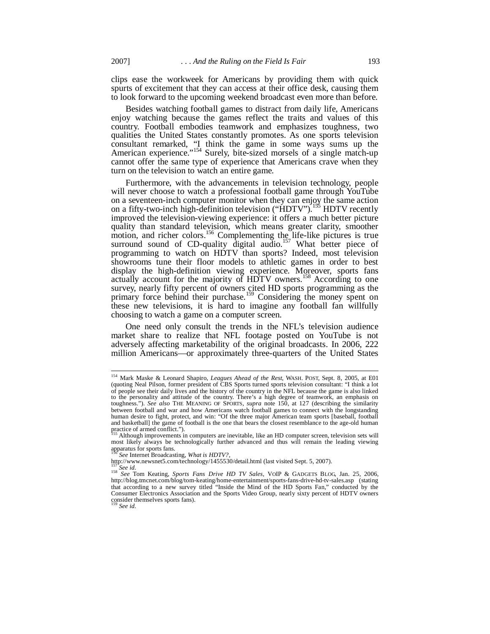clips ease the workweek for Americans by providing them with quick spurts of excitement that they can access at their office desk, causing them to look forward to the upcoming weekend broadcast even more than before.

Besides watching football games to distract from daily life, Americans enjoy watching because the games reflect the traits and values of this country. Football embodies teamwork and emphasizes toughness, two qualities the United States constantly promotes. As one sports television consultant remarked, "I think the game in some ways sums up the American experience."<sup>154</sup> Surely, bite-sized morsels of a single match-up cannot offer the same type of experience that Americans crave when they turn on the television to watch an entire game.

Furthermore, with the advancements in television technology, people will never choose to watch a professional football game through YouTube on a seventeen-inch computer monitor when they can enjoy the same action on a fifty-two-inch high-definition television ("HDTV").<sup>155</sup> HDTV recently improved the television-viewing experience: it offers a much better picture quality than standard television, which means greater clarity, smoother motion, and richer colors.<sup>156</sup> Complementing the life-like pictures is true surround sound of CD-quality digital audio.<sup>157</sup> What better piece of programming to watch on HDTV than sports? Indeed, most television showrooms tune their floor models to athletic games in order to best display the high-definition viewing experience. Moreover, sports fans actually account for the majority of HDTV owners.<sup>158</sup> According to one survey, nearly fifty percent of owners cited HD sports programming as the primary force behind their purchase.<sup>159</sup> Considering the money spent on these new televisions, it is hard to imagine any football fan willfully choosing to watch a game on a computer screen.

One need only consult the trends in the NFL's television audience market share to realize that NFL footage posted on YouTube is not adversely affecting marketability of the original broadcasts. In 2006, 222 million Americans—or approximately three-quarters of the United States

http://www.newsnet5.com/technology/1455530/detail.html (last visited Sept. 5, 2007).

<sup>154</sup> Mark Maske & Leonard Shapiro, *Leagues Ahead of the Rest*, WASH. POST, Sept. 8, 2005, at E01 (quoting Neal Pilson, former president of CBS Sports turned sports television consultant: "I think a lot of people see their daily lives and the history of the country in the NFL because the game is also linked to the personality and attitude of the country. There's a high degree of teamwork, an emphasis on toughness."). *See also* THE MEANING OF SPORTS, *supra* note 150, at 127 (describing the similarity between football and war and how Americans watch football games to connect with the longstanding human desire to fight, protect, and win: "Of the three major American team sports [baseball, football and basketball] the game of football is the one that bears the closest resemblance to the age-old human practice of armed conflict.").

<sup>155</sup> Although improvements in computers are inevitable, like an HD computer screen, television sets will most likely always be technologically further advanced and thus will remain the leading viewing apparatus for sports fans.

<sup>156</sup> *See* Internet Broadcasting, *What is HDTV?*,

<sup>157</sup> *See id*. <sup>158</sup> *See* Tom Keating, *Sports Fans Drive HD TV Sales*, VOIP & GADGETS BLOG, Jan. 25, 2006, http://blog.tmcnet.com/blog/tom-keating/home-entertainment/sports-fans-drive-hd-tv-sales.asp (stating that according to a new survey titled "Inside the Mind of the HD Sports Fan," conducted by the Consumer Electronics Association and the Sports Video Group, nearly sixty percent of HDTV owners consider themselves sports fans). <sup>159</sup> *See id*.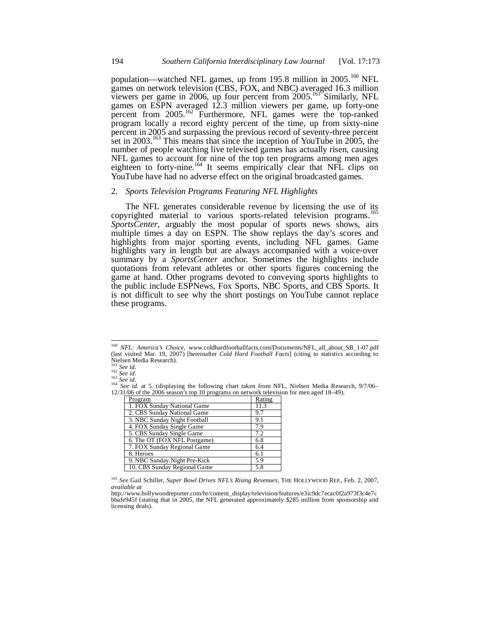population—watched NFL games, up from 195.8 million in 2005.<sup>160</sup> NFL games on network television (CBS, FOX, and NBC) averaged 16.3 million viewers per game in 2006, up four percent from 2005.<sup>161</sup> Similarly, NFL games on ESPN averaged 12.3 million viewers per game, up forty-one percent from 2005.<sup>162</sup> Furthermore, NFL games were the top-ranked program locally a record eighty percent of the time, up from sixty-nine percent in 2005 and surpassing the previous record of seventy-three percent set in 2003.<sup>163</sup> This means that since the inception of YouTube in 2005, the number of people watching live televised games has actually risen, causing NFL games to account for nine of the top ten programs among men ages eighteen to forty-nine.<sup>164</sup> It seems empirically clear that NFL clips on YouTube have had no adverse effect on the original broadcasted games.

### 2. *Sports Television Programs Featuring NFL Highlights*

The NFL generates considerable revenue by licensing the use of its copyrighted material to various sports-related television programs.<sup>165</sup> *SportsCenter*, arguably the most popular of sports news shows, airs multiple times a day on ESPN. The show replays the day's scores and highlights from major sporting events, including NFL games. Game highlights vary in length but are always accompanied with a voice-over summary by a *SportsCenter* anchor. Sometimes the highlights include quotations from relevant athletes or other sports figures concerning the game at hand. Other programs devoted to conveying sports highlights to the public include ESPNews, Fox Sports, NBC Sports, and CBS Sports. It is not difficult to see why the short postings on YouTube cannot replace these programs.

<sup>&</sup>lt;sup>164</sup> *See id.* at 5. (displaying the following chart taken from NFL, Nielsen Media Research, 9/7/06–12/31/06 of the 2006 season's top 10 programs on network television for men aged 18–49).

| Program                      | Rating |
|------------------------------|--------|
| 1. FOX Sunday National Game  | 11.3   |
| 2. CBS Sunday National Game  | 9.7    |
| 3. NBC Sunday Night Football | 9.1    |
| 4. FOX Sunday Single Game    | 7.9    |
| 5. CBS Sunday Single Game    | 7.2    |
| 6. The OT (FOX NFL Postgame) | 6.8    |
| 7. FOX Sunday Regional Game  | 6.4    |
| 8. Heroes                    | 6.1    |
| 9. NBC Sunday Night Pre-Kick | 5.9    |
| 10. CBS Sunday Regional Game | 5.8    |

<sup>165</sup> *See* Gail Schiller, *Super Bowl Drives NFL's Rising Revenues*, THE HOLLYWOOD REP., Feb. 2, 2007, *available at*

<sup>&</sup>lt;sup>160</sup> *NFL: America's Choice*, www.coldhardfootballfacts.com/Documents/NFL\_all\_about\_SB\_1-07.pdf (last visited Mar. 19, 2007) [hereinafter *Cold Hard Football Facts*] (citing to statistics according to Nielsen Media Research).

<sup>161</sup> *See id*. <sup>162</sup> *See id*.

<sup>163</sup> *See id*.

http://www.hollywoodreporter.com/hr/content\_display/television/features/e3ic9dc7ecac0f2a973f3c4e7c bbafe945f (stating that in 2005, the NFL generated approximately \$285 million from sponsorship and licensing deals).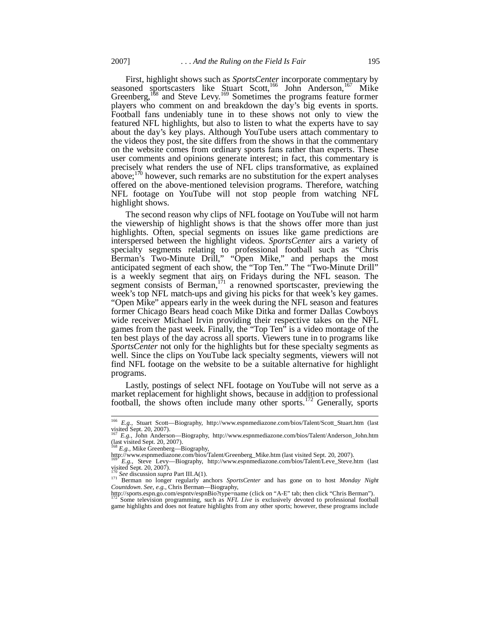First, highlight shows such as *SportsCenter* incorporate commentary by seasoned sportscasters like Stuart Scott,<sup>166</sup> John Anderson,<sup>167</sup> Mike Greenberg,  $168$  and Steve Levy.  $169$  Sometimes the programs feature former players who comment on and breakdown the day's big events in sports. Football fans undeniably tune in to these shows not only to view the featured NFL highlights, but also to listen to what the experts have to say about the day's key plays. Although YouTube users attach commentary to the videos they post, the site differs from the shows in that the commentary on the website comes from ordinary sports fans rather than experts. These user comments and opinions generate interest; in fact, this commentary is precisely what renders the use of NFL clips transformative, as explained above; $170$  however, such remarks are no substitution for the expert analyses offered on the above-mentioned television programs. Therefore, watching NFL footage on YouTube will not stop people from watching NFL highlight shows.

The second reason why clips of NFL footage on YouTube will not harm the viewership of highlight shows is that the shows offer more than just highlights. Often, special segments on issues like game predictions are interspersed between the highlight videos. *SportsCenter* airs a variety of specialty segments relating to professional football such as "Chris Berman's Two-Minute Drill," "Open Mike," and perhaps the most anticipated segment of each show, the "Top Ten." The "Two-Minute Drill" is a weekly segment that airs on Fridays during the NFL season. The segment consists of Berman,<sup>171</sup> a renowned sportscaster, previewing the week's top NFL match-ups and giving his picks for that week's key games. "Open Mike" appears early in the week during the NFL season and features former Chicago Bears head coach Mike Ditka and former Dallas Cowboys wide receiver Michael Irvin providing their respective takes on the NFL games from the past week. Finally, the "Top Ten" is a video montage of the ten best plays of the day across all sports. Viewers tune in to programs like *SportsCenter* not only for the highlights but for these specialty segments as well. Since the clips on YouTube lack specialty segments, viewers will not find NFL footage on the website to be a suitable alternative for highlight programs.

Lastly, postings of select NFL footage on YouTube will not serve as a market replacement for highlight shows, because in addition to professional football, the shows often include many other sports.<sup>172</sup> Generally, sports

<sup>166</sup> *E.g.,* Stuart Scott—Biography, http://www.espnmediazone.com/bios/Talent/Scott\_Stuart.htm (last visited Sept. 20, 2007).

<sup>167</sup> *E.g.,* John Anderson—Biography, http://www.espnmediazone.com/bios/Talent/Anderson\_John.htm (last visited Sept. 20, 2007). <sup>168</sup> *E.g.,* Mike Greenberg—Biography, http://www.espnmediazone.com/bios/Talent/Greenberg\_Mike.htm (last visited Sept. 20, 2007).

<sup>&</sup>lt;sup>1694</sup> E.g., Steve Levy—Biography, http://www.espnmediazone.com/bios/Talent/Leve\_Steve.htm (last

visited Sept. 20, 2007). <sup>170</sup> *See* discussion *supra* Part III.A(1).

<sup>171</sup> Berman no longer regularly anchors *SportsCenter* and has gone on to host *Monday Night*<br><sup>171</sup> Berman no longer regularly anchors *SportsCenter* and has gone on to host *Monday Night Countdown*. *See, e.g.*, Chris Berman—Biography,

http://sports.espn.go.com/espntv/espnBio?type=name (click on "A-E" tab; then click "Chris Berman"). <sup>172</sup> Some television programming, such as *NFL Live* is exclusively devoted to professional football game highlights and does not feature highlights from any other sports; however, these programs include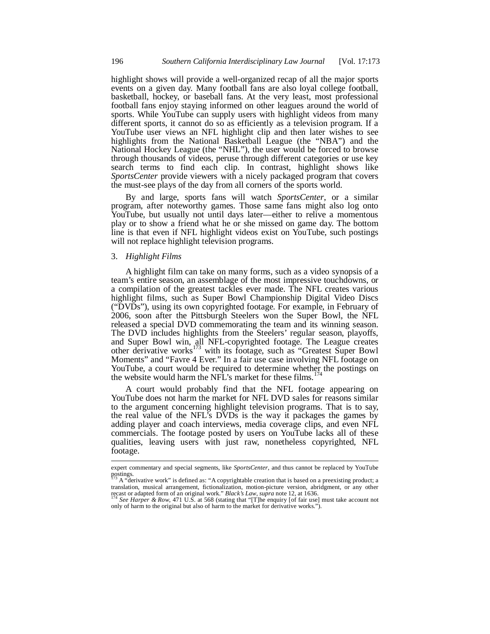highlight shows will provide a well-organized recap of all the major sports events on a given day. Many football fans are also loyal college football, basketball, hockey, or baseball fans. At the very least, most professional football fans enjoy staying informed on other leagues around the world of sports. While YouTube can supply users with highlight videos from many different sports, it cannot do so as efficiently as a television program. If a YouTube user views an NFL highlight clip and then later wishes to see highlights from the National Basketball League (the "NBA") and the National Hockey League (the "NHL"), the user would be forced to browse through thousands of videos, peruse through different categories or use key search terms to find each clip. In contrast, highlight shows like *SportsCenter* provide viewers with a nicely packaged program that covers the must-see plays of the day from all corners of the sports world.

By and large, sports fans will watch *SportsCenter*, or a similar program, after noteworthy games. Those same fans might also log onto YouTube, but usually not until days later—either to relive a momentous play or to show a friend what he or she missed on game day. The bottom line is that even if NFL highlight videos exist on YouTube, such postings will not replace highlight television programs.

## 3. *Highlight Films*

A highlight film can take on many forms, such as a video synopsis of a team's entire season, an assemblage of the most impressive touchdowns, or a compilation of the greatest tackles ever made. The NFL creates various highlight films, such as Super Bowl Championship Digital Video Discs ("DVDs"), using its own copyrighted footage. For example, in February of 2006, soon after the Pittsburgh Steelers won the Super Bowl, the NFL released a special DVD commemorating the team and its winning season. The DVD includes highlights from the Steelers' regular season, playoffs, and Super Bowl win, all NFL-copyrighted footage. The League creates other derivative works<sup>173</sup> with its footage, such as "Greatest Super Bowl Moments" and "Favre 4 Ever." In a fair use case involving NFL footage on YouTube, a court would be required to determine whether the postings on the website would harm the NFL's market for these films.<sup>174</sup>

A court would probably find that the NFL footage appearing on YouTube does not harm the market for NFL DVD sales for reasons similar to the argument concerning highlight television programs. That is to say, the real value of the NFL's DVDs is the way it packages the games by adding player and coach interviews, media coverage clips, and even NFL commercials. The footage posted by users on YouTube lacks all of these qualities, leaving users with just raw, nonetheless copyrighted, NFL footage.

expert commentary and special segments, like *SportsCenter*, and thus cannot be replaced by YouTube postings.<br><sup>173</sup> A "derivative work" is defined as: "A copyrightable creation that is based on a preexisting product; a

translation, musical arrangement, fictionalization, motion-picture version, abridgment, or any other recast or adapted form of an original work." *Black's Law*, *supra* note 12, at 1636.

See Harper & Row, 471 U.S. at 568 (stating that "[T]he enquiry [of fair use] must take account not only of harm to the original but also of harm to the market for derivative works.").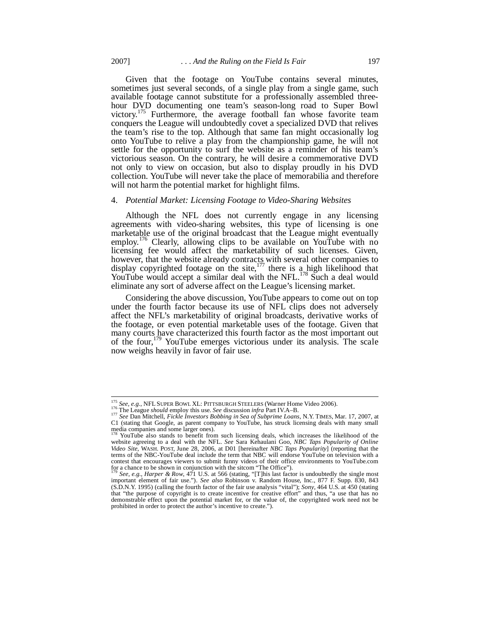Given that the footage on YouTube contains several minutes, sometimes just several seconds, of a single play from a single game, such available footage cannot substitute for a professionally assembled threehour DVD documenting one team's season-long road to Super Bowl victory.<sup>175</sup> Furthermore, the average football fan whose favorite team conquers the League will undoubtedly covet a specialized DVD that relives the team's rise to the top. Although that same fan might occasionally log onto YouTube to relive a play from the championship game, he will not settle for the opportunity to surf the website as a reminder of his team's victorious season. On the contrary, he will desire a commemorative DVD not only to view on occasion, but also to display proudly in his DVD collection. YouTube will never take the place of memorabilia and therefore will not harm the potential market for highlight films.

#### 4. *Potential Market: Licensing Footage to Video-Sharing Websites*

Although the NFL does not currently engage in any licensing agreements with video-sharing websites, this type of licensing is one marketable use of the original broadcast that the League might eventually employ.<sup>176</sup> Clearly, allowing clips to be available on YouTube with no licensing fee would affect the marketability of such licenses. Given, however, that the website already contracts with several other companies to display copyrighted footage on the site,<sup>177</sup> there is a high likelihood that YouTube would accept a similar deal with the NFL.<sup>178</sup> Such a deal would eliminate any sort of adverse affect on the League's licensing market.

Considering the above discussion, YouTube appears to come out on top under the fourth factor because its use of NFL clips does not adversely affect the NFL's marketability of original broadcasts, derivative works of the footage, or even potential marketable uses of the footage. Given that many courts have characterized this fourth factor as the most important out of the four,<sup>179</sup> YouTube emerges victorious under its analysis. The scale now weighs heavily in favor of fair use.

<sup>175</sup> *See, e.g.*, NFL SUPER BOWL XL: PITTSBURGH STEELERS (Warner Home Video 2006).

<sup>176</sup> The League *should* employ this use. *See* discussion *infra* Part IV.A–B. <sup>177</sup> *See* Dan Mitchell, *Fickle Investors Bobbing in Sea of Subprime Loans*, N.Y. TIMES, Mar. 17, 2007, at C1 (stating that Google, as parent company to YouTube, has struck licensing deals with many small media companies and some larger ones).

YouTube also stands to benefit from such licensing deals, which increases the likelihood of the website agreeing to a deal with the NFL. *See* Sara Kehaulani Goo, *NBC Taps Popularity of Online Video Site*, WASH. POST, June 28, 2006, at D01 [hereinafter *NBC Taps Popularity*] (reporting that the terms of the NBC-YouTube deal include the term that NBC will endorse YouTube on television with a contest that encourages viewers to submit funny videos of their office environments to YouTube.com for a chance to be shown in conjunction with the sitcom "The Office").

See, e.g., *Harper & Row*, 471 U.S. at 566 (stating, "[T]his last factor is undoubtedly the single most important element of fair use."). *See also* Robinson v. Random House, Inc., 877 F. Supp. 830, 843 (S.D.N.Y. 1995) (calling the fourth factor of the fair use analysis "vital"); *Sony*, 464 U.S. at 450 (stating that "the purpose of copyright is to create incentive for creative effort" and thus, "a use that has no demonstrable effect upon the potential market for, or the value of, the copyrighted work need not be prohibited in order to protect the author's incentive to create.").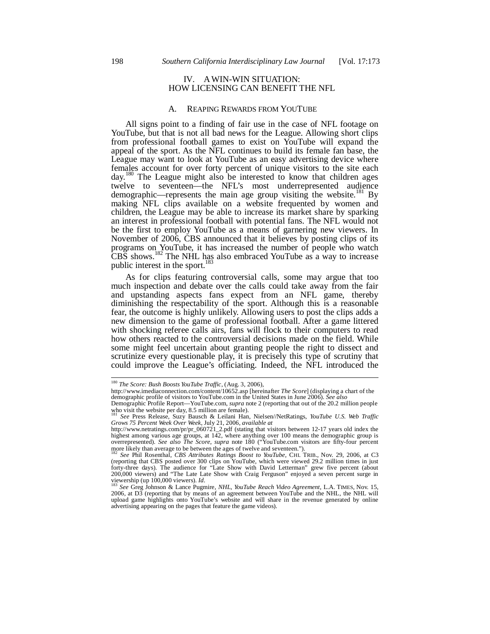# IV. A WIN-WIN SITUATION: HOW LICENSING CAN BENEFIT THE NFL

#### A. REAPING REWARDS FROM YOUTUBE

All signs point to a finding of fair use in the case of NFL footage on YouTube, but that is not all bad news for the League. Allowing short clips from professional football games to exist on YouTube will expand the appeal of the sport. As the NFL continues to build its female fan base, the League may want to look at YouTube as an easy advertising device where females account for over forty percent of unique visitors to the site each day.<sup>180</sup> The League might also be interested to know that children ages twelve to seventeen—the NFL's most underrepresented audience demographic—represents the main age group visiting the website.<sup>181</sup> By making NFL clips available on a website frequented by women and children, the League may be able to increase its market share by sparking an interest in professional football with potential fans. The NFL would not be the first to employ YouTube as a means of garnering new viewers. In November of 2006, CBS announced that it believes by posting clips of its programs on YouTube, it has increased the number of people who watch CBS shows.<sup>182</sup> The NHL has also embraced YouTube as a way to increase public interest in the sport.<sup>183</sup>

As for clips featuring controversial calls, some may argue that too much inspection and debate over the calls could take away from the fair and upstanding aspects fans expect from an NFL game, thereby diminishing the respectability of the sport. Although this is a reasonable fear, the outcome is highly unlikely. Allowing users to post the clips adds a new dimension to the game of professional football. After a game littered with shocking referee calls airs, fans will flock to their computers to read how others reacted to the controversial decisions made on the field. While some might feel uncertain about granting people the right to dissect and scrutinize every questionable play, it is precisely this type of scrutiny that could improve the League's officiating. Indeed, the NFL introduced the

<sup>180</sup> *The Score: Bush Boosts YouTube Traffic*, (Aug. 3, 2006),

http://www.imediaconnection.com/content/10652.asp [hereinafter *The Score*] (displaying a chart of the demographic profile of visitors to YouTube.com in the United States in June 2006). *See also*

Demographic Profile Report—YouTube.com, *supra* note 2 (reporting that out of the 20.2 million people who visit the website per day,  $8.5$  million are female).

<sup>181</sup> *See* Press Release, Suzy Bausch & Leilani Han, Nielsen//NetRatings, *YouTube U.S. Web Traffic Grows 75 Percent Week Over Week*, July 21, 2006, *available at*

http://www.netratings.com/pr/pr\_060721\_2.pdf (stating that visitors between 12-17 years old index the highest among various age groups, at 142, where anything over 100 means the demographic group is overrepresented). See a more likely than average to be between the ages of twelve and seventeen."). <sup>182</sup> *See* Phil Rosenthal, *CBS Attributes Ratings Boost to YouTube*, CHI. TRIB., Nov. 29, 2006, at C3

<sup>(</sup>reporting that CBS posted over 300 clips on YouTube, which were viewed 29.2 million times in just forty-three days). The audience for "Late Show with David Letterman" grew five percent (about 200,000 viewers) and "The Late Late Show with Craig Ferguson" enjoyed a seven percent surge in viewership (up 100,000 viewers).

<sup>&</sup>lt;sup>183</sup> *See* Greg Johnson & Lance Pugmire, *NHL, YouTube Reach Video Agreement*, L.A. TIMES, Nov. 15, 2006, at D3 (reporting that by means of an agreement between YouTube and the NHL, the NHL will upload game highlights onto YouTube's website and will share in the revenue generated by online advertising appearing on the pages that feature the game videos).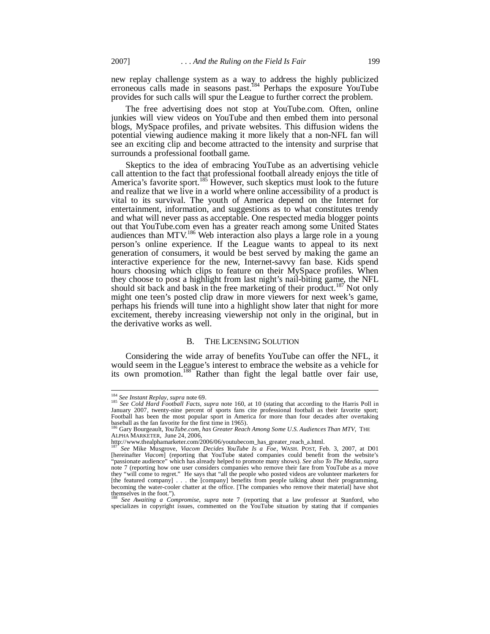new replay challenge system as a way to address the highly publicized erroneous calls made in seasons past.<sup>184</sup> Perhaps the exposure YouTube provides for such calls will spur the League to further correct the problem.

The free advertising does not stop at YouTube.com. Often, online junkies will view videos on YouTube and then embed them into personal blogs, MySpace profiles, and private websites. This diffusion widens the potential viewing audience making it more likely that a non-NFL fan will see an exciting clip and become attracted to the intensity and surprise that surrounds a professional football game.

Skeptics to the idea of embracing YouTube as an advertising vehicle call attention to the fact that professional football already enjoys the title of America's favorite sport.<sup>185</sup> However, such skeptics must look to the future and realize that we live in a world where online accessibility of a product is vital to its survival. The youth of America depend on the Internet for entertainment, information, and suggestions as to what constitutes trendy and what will never pass as acceptable. One respected media blogger points out that YouTube.com even has a greater reach among some United States audiences than MTV.<sup>186</sup> Web interaction also plays a large role in a young person's online experience. If the League wants to appeal to its next generation of consumers, it would be best served by making the game an interactive experience for the new, Internet-savvy fan base. Kids spend hours choosing which clips to feature on their MySpace profiles. When they choose to post a highlight from last night's nail-biting game, the NFL should sit back and bask in the free marketing of their product.<sup>187</sup> Not only might one teen's posted clip draw in more viewers for next week's game, perhaps his friends will tune into a highlight show later that night for more excitement, thereby increasing viewership not only in the original, but in the derivative works as well.

### B. THE LICENSING SOLUTION

Considering the wide array of benefits YouTube can offer the NFL, it would seem in the League's interest to embrace the website as a vehicle for its own promotion.<sup>188</sup> Rather than fight the legal battle over fair use,

<sup>184</sup> *See Instant Replay*, *supra* note 69.

<sup>&</sup>lt;sup>185</sup> *See Cold Hard Football Facts*, *supra* note 160, at 10 (stating that according to the Harris Poll in January 2007, twenty-nine percent of sports fans cite professional football as their favorite sport; Football has been the most popular sport in America for more than four decades after overtaking baseball as the fan favorite for the first time in 1965). <sup>186</sup> Gary Bourgeault, *YouTube.com, has Greater Reach Among Some U.S. Audiences Than MTV*, THE

ALPHA MARKETER, June 24, 2006,

http://www.thealphamarketer.com/2006/06/youtubecom\_has\_greater\_reach\_a.html.

<sup>&</sup>lt;sup>187</sup> *See* Mike Musgrove, *Viacom Decides YouTube Is a Foe*, WASH. POST, Feb. 3, 2007, at D01 [hereinafter *Viacom*] (reporting that YouTube stated companies could benefit from the website's "passionate audience" which has already helped to promote many shows). *See also To The Media*, *supra* note 7 (reporting how one user considers companies who remove their fare from YouTube as a move they "will come to regret." He says that "all the people who posted videos are volunteer marketers for [the featured company] . . . the [company] benefits from people talking about their programming, becoming the water-cooler chatter at the office. [The companies who remove their material] have shot themselves in the foot.").

<sup>188</sup> *See Awaiting a Compromise*, *supra* note 7 (reporting that a law professor at Stanford, who specializes in copyright issues, commented on the YouTube situation by stating that if companies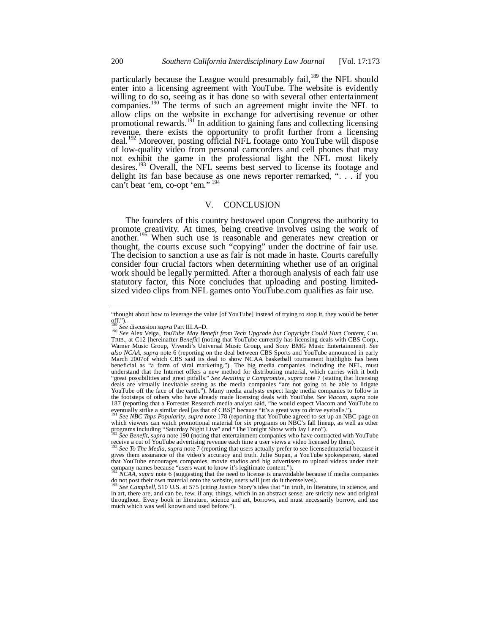particularly because the League would presumably fail,<sup>189</sup> the NFL should enter into a licensing agreement with YouTube. The website is evidently willing to do so, seeing as it has done so with several other entertainment companies.<sup>190</sup> The terms of such an agreement might invite the NFL to allow clips on the website in exchange for advertising revenue or other promotional rewards.<sup>191</sup> In addition to gaining fans and collecting licensing revenue, there exists the opportunity to profit further from a licensing deal.<sup>192</sup> Moreover, posting official NFL footage onto YouTube will dispose of low-quality video from personal camcorders and cell phones that may not exhibit the game in the professional light the NFL most likely desires.<sup>193</sup> Overall, the NFL seems best served to license its footage and delight its fan base because as one news reporter remarked, ". . . if you can't beat 'em, co-opt 'em."<sup>194</sup>

#### V. CONCLUSION

The founders of this country bestowed upon Congress the authority to promote creativity. At times, being creative involves using the work of another.<sup>195</sup> When such use is reasonable and generates new creation or thought, the courts excuse such "copying" under the doctrine of fair use. The decision to sanction a use as fair is not made in haste. Courts carefully consider four crucial factors when determining whether use of an original work should be legally permitted. After a thorough analysis of each fair use statutory factor, this Note concludes that uploading and posting limitedsized video clips from NFL games onto YouTube.com qualifies as fair use.

<sup>191</sup> *See NBC Taps Popularity*, *supra* note 178 (reporting that YouTube agreed to set up an NBC page on which viewers can watch promotional material for six programs on NBC's fall lineup, as well as other programs including "Saturday Night Live" and "The Tonight Show with Jay Leno"). <sup>192</sup> *See Benefit*, *supra* note 190 (noting that entertainment companies who have contracted with YouTube

<sup>&</sup>quot;thought about how to leverage the value [of YouTube] instead of trying to stop it, they would be better off."). <sup>189</sup> *See* discussion *supra* Part III.A–D.

<sup>190</sup> *See* Alex Veiga, *YouTube May Benefit from Tech Upgrade but Copyright Could Hurt Content*, CHI. TRIB., at C12 [hereinafter *Benefit*] (noting that YouTube currently has licensing deals with CBS Corp., Warner Music Group, Vivendi's Universal Music Group, and Sony BMG Music Entertainment). *See also NCAA*, *supra* note 6 (reporting on the deal between CBS Sports and YouTube announced in early March 2007of which CBS said its deal to show NCAA basketball tournament highlights has been beneficial as "a form of viral marketing."). The big media companies, including the NFL, must understand that the Internet offers a new method for distributing material, which carries with it both "great possibilities and great pitfalls." *See Awaiting a Compromise*, *supra* note 7 (stating that licensing deals are virtually inevitable seeing as the media companies "are not going to be able to litigate YouTube off the face of the earth."). Many media analysts expect large media companies to follow in the footsteps of others who have already made licensing deals with YouTube. *See Viacom*, *supra* note 187 (reporting that a Forrester Research media analyst said, "he would expect Viacom and YouTube to eventually strike a similar deal [as that of CBS]" because "it's a great way to drive eyeballs.")

receive a cut of YouTube advertising revenue each time a user views a video licensed by them).

<sup>&</sup>lt;sup>193</sup> See To The Media, supra note 7 (reporting that users actually prefer to see licensedmaterial because it gives them assurance of the video's accuracy and truth. Julie Supan, a YouTube spokesperson, stated that YouTube encourages companies, movie studios and big advertisers to upload videos under their company names because "users want to know it's legitimate content.").

*NCAA*, *supra* note 6 (suggesting that the need to license is unavoidable because if media companies do not post their own material onto the website, users will just do it themselves).

<sup>195</sup> *See Campbell*, 510 U.S. at 575 (citing Justice Story's idea that "in truth, in literature, in science, and in art, there are, and can be, few, if any, things, which in an abstract sense, are strictly new and original throughout. Every book in literature, science and art, borrows, and must necessarily borrow, and use much which was well known and used before.").